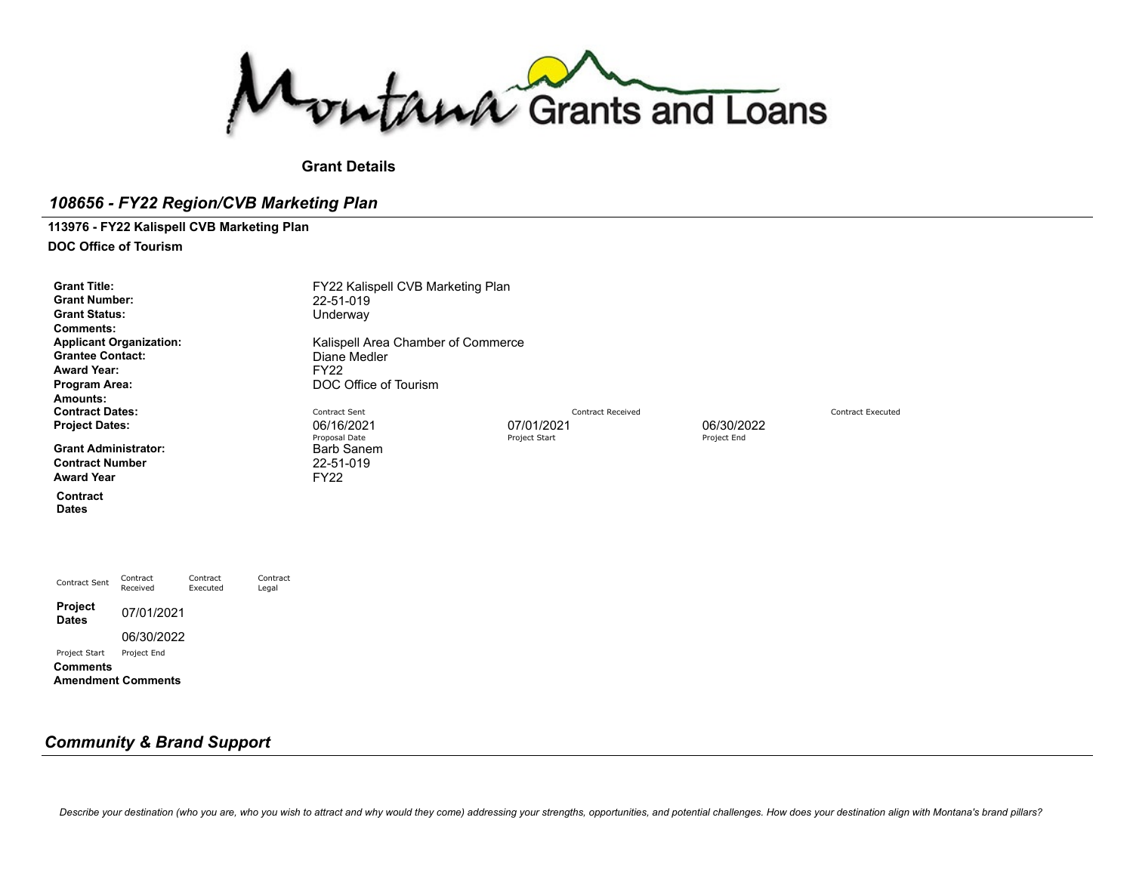Montana Grants and Loans

**Grant Details**

### *108656 - FY22 Region/CVB Marketing Plan*

# **113976 - FY22 Kalispell CVB Marketing Plan**

**DOC Office of Tourism**

| <b>Grant Title:</b><br><b>Grant Number:</b><br><b>Grant Status:</b><br>Comments:<br><b>Applicant Organization:</b><br><b>Grantee Contact:</b><br><b>Award Year:</b><br>Program Area:<br>Amounts: |                      |                      |                   | FY22 Kalispell CVB Marketing Plan<br>22-51-019<br>Underway<br>Kalispell Area Chamber of Commerce<br>Diane Medler<br><b>FY22</b><br>DOC Office of Tourism |                          |             |                          |
|--------------------------------------------------------------------------------------------------------------------------------------------------------------------------------------------------|----------------------|----------------------|-------------------|----------------------------------------------------------------------------------------------------------------------------------------------------------|--------------------------|-------------|--------------------------|
| <b>Contract Dates:</b>                                                                                                                                                                           |                      |                      |                   | Contract Sent                                                                                                                                            | <b>Contract Received</b> |             | <b>Contract Executed</b> |
| <b>Project Dates:</b>                                                                                                                                                                            |                      |                      |                   | 06/16/2021                                                                                                                                               | 07/01/2021               | 06/30/2022  |                          |
| <b>Grant Administrator:</b><br><b>Contract Number</b><br><b>Award Year</b>                                                                                                                       |                      |                      |                   | Proposal Date<br><b>Barb Sanem</b><br>22-51-019<br><b>FY22</b>                                                                                           | Project Start            | Project End |                          |
| Contract<br><b>Dates</b>                                                                                                                                                                         |                      |                      |                   |                                                                                                                                                          |                          |             |                          |
|                                                                                                                                                                                                  |                      |                      |                   |                                                                                                                                                          |                          |             |                          |
| <b>Contract Sent</b>                                                                                                                                                                             | Contract<br>Received | Contract<br>Executed | Contract<br>Legal |                                                                                                                                                          |                          |             |                          |
| Project<br><b>Dates</b>                                                                                                                                                                          | 07/01/2021           |                      |                   |                                                                                                                                                          |                          |             |                          |

## *Community & Brand Support*

06/30/2022

Project Start Project End

**Amendment Comments**

**Comments**

Describe your destination (who you are, who you wish to attract and why would they come) addressing your strengths, opportunities, and potential challenges. How does your destination align with Montana's brand pillars?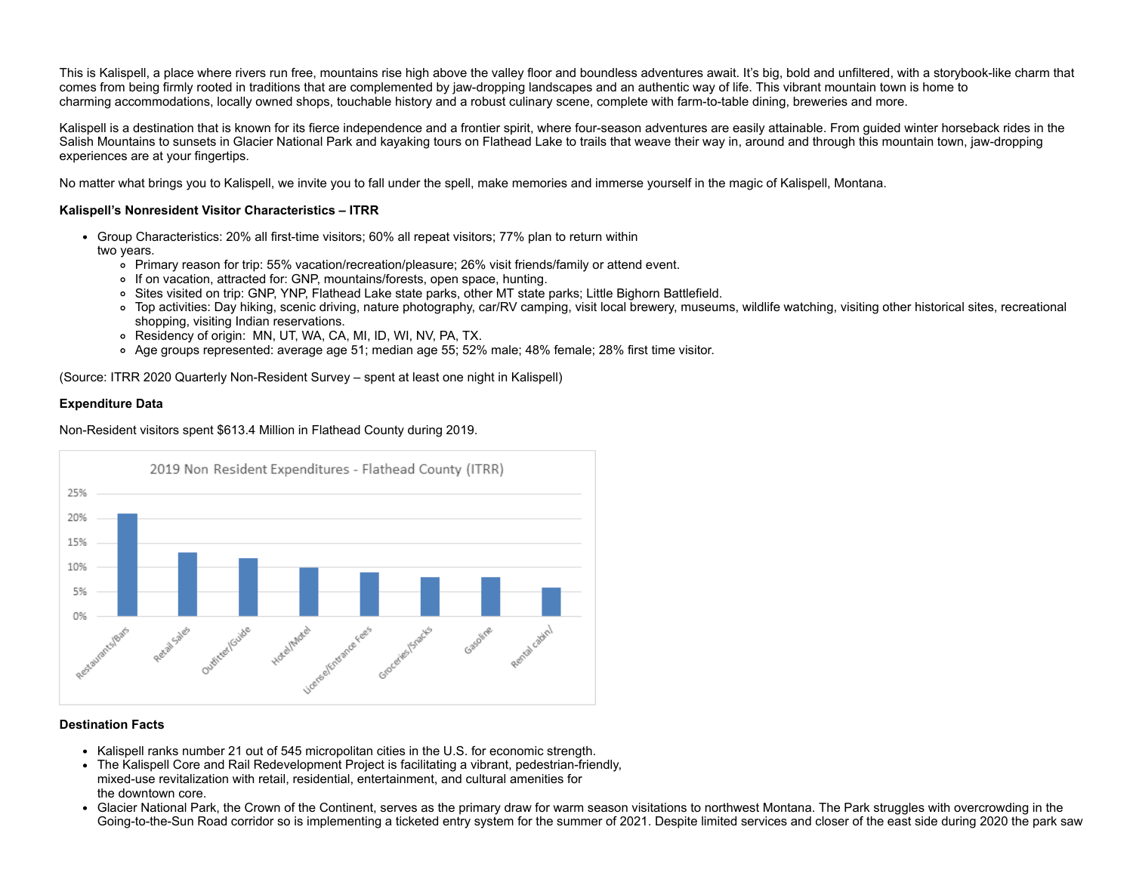This is Kalispell, a place where rivers run free, mountains rise high above the valley floor and boundless adventures await. It's big, bold and unfiltered, with a storybook-like charm that comes from being firmly rooted in traditions that are complemented by jaw-dropping landscapes and an authentic way of life. This vibrant mountain town is home to charming accommodations, locally owned shops, touchable history and a robust culinary scene, complete with farm-to-table dining, breweries and more.

Kalispell is a destination that is known for its fierce independence and a frontier spirit, where four-season adventures are easily attainable. From quided winter horseback rides in the Salish Mountains to sunsets in Glacier National Park and kayaking tours on Flathead Lake to trails that weave their way in, around and through this mountain town, jaw-dropping experiences are at your fingertips.

No matter what brings you to Kalispell, we invite you to fall under the spell, make memories and immerse yourself in the magic of Kalispell, Montana.

### **Kalispell's Nonresident Visitor Characteristics – ITRR**

- Group Characteristics: 20% all first-time visitors; 60% all repeat visitors; 77% plan to return within
	- two years.
		- Primary reason for trip: 55% vacation/recreation/pleasure; 26% visit friends/family or attend event.
		- If on vacation, attracted for: GNP, mountains/forests, open space, hunting.
		- Sites visited on trip: GNP, YNP, Flathead Lake state parks, other MT state parks; Little Bighorn Battlefield.
		- Top activities: Day hiking, scenic driving, nature photography, car/RV camping, visit local brewery, museums, wildlife watching, visiting other historical sites, recreational shopping, visiting Indian reservations.
		- Residency of origin: MN, UT, WA, CA, MI, ID, WI, NV, PA, TX.
		- Age groups represented: average age 51; median age 55; 52% male; 48% female; 28% first time visitor.

(Source: ITRR 2020 Quarterly Non-Resident Survey – spent at least one night in Kalispell)

#### **Expenditure Data**

Non-Resident visitors spent \$613.4 Million in Flathead County during 2019.



### **Destination Facts**

- Kalispell ranks number 21 out of 545 micropolitan cities in the U.S. for economic strength.
- The Kalispell Core and Rail Redevelopment Project is facilitating a vibrant, pedestrian-friendly, mixed-use revitalization with retail, residential, entertainment, and cultural amenities for the downtown core.
- Glacier National Park, the Crown of the Continent, serves as the primary draw for warm season visitations to northwest Montana. The Park struggles with overcrowding in the Going-to-the-Sun Road corridor so is implementing a ticketed entry system for the summer of 2021. Despite limited services and closer of the east side during 2020 the park saw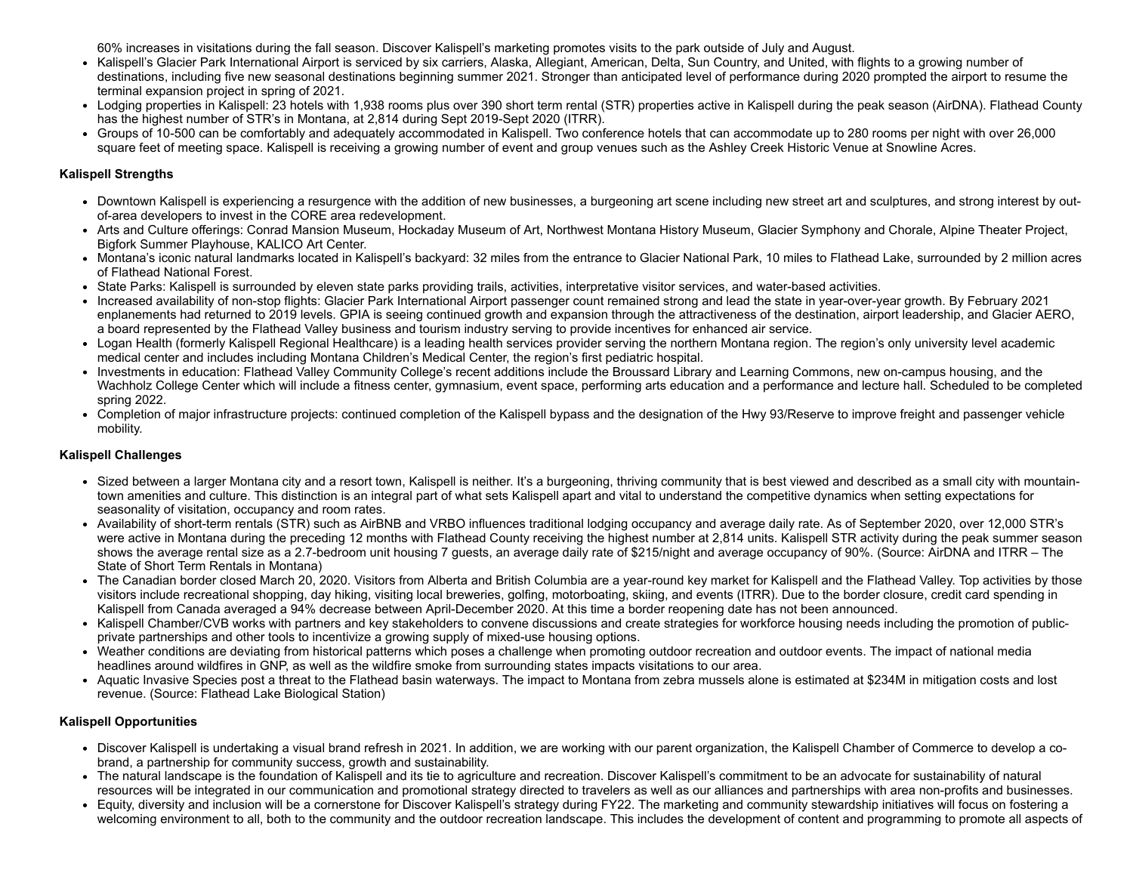60% increases in visitations during the fall season. Discover Kalispell's marketing promotes visits to the park outside of July and August.

- Kalispell's Glacier Park International Airport is serviced by six carriers, Alaska, Allegiant, American, Delta, Sun Country, and United, with flights to a growing number of destinations, including five new seasonal destinations beginning summer 2021. Stronger than anticipated level of performance during 2020 prompted the airport to resume the terminal expansion project in spring of 2021.
- Lodging properties in Kalispell: 23 hotels with 1,938 rooms plus over 390 short term rental (STR) properties active in Kalispell during the peak season (AirDNA). Flathead County has the highest number of STR's in Montana, at 2,814 during Sept 2019-Sept 2020 (ITRR).
- Groups of 10-500 can be comfortably and adequately accommodated in Kalispell. Two conference hotels that can accommodate up to 280 rooms per night with over 26,000 square feet of meeting space. Kalispell is receiving a growing number of event and group venues such as the Ashley Creek Historic Venue at Snowline Acres.

### **Kalispell Strengths**

- Downtown Kalispell is experiencing a resurgence with the addition of new businesses, a burgeoning art scene including new street art and sculptures, and strong interest by outof-area developers to invest in the CORE area redevelopment.
- Arts and Culture offerings: Conrad Mansion Museum, Hockaday Museum of Art, Northwest Montana History Museum, Glacier Symphony and Chorale, Alpine Theater Project, Bigfork Summer Playhouse, KALICO Art Center.
- Montana's iconic natural landmarks located in Kalispell's backyard: 32 miles from the entrance to Glacier National Park, 10 miles to Flathead Lake, surrounded by 2 million acres of Flathead National Forest.
- State Parks: Kalispell is surrounded by eleven state parks providing trails, activities, interpretative visitor services, and water-based activities.
- Increased availability of non-stop flights: Glacier Park International Airport passenger count remained strong and lead the state in year-over-year growth. By February 2021 enplanements had returned to 2019 levels. GPIA is seeing continued growth and expansion through the attractiveness of the destination, airport leadership, and Glacier AERO, a board represented by the Flathead Valley business and tourism industry serving to provide incentives for enhanced air service.
- Logan Health (formerly Kalispell Regional Healthcare) is a leading health services provider serving the northern Montana region. The region's only university level academic medical center and includes including Montana Children's Medical Center, the region's first pediatric hospital.
- Investments in education: Flathead Valley Community College's recent additions include the Broussard Library and Learning Commons, new on-campus housing, and the Wachholz College Center which will include a fitness center, gymnasium, event space, performing arts education and a performance and lecture hall. Scheduled to be completed spring 2022.
- Completion of major infrastructure projects: continued completion of the Kalispell bypass and the designation of the Hwy 93/Reserve to improve freight and passenger vehicle mobility.

### **Kalispell Challenges**

- Sized between a larger Montana city and a resort town, Kalispell is neither. It's a burgeoning, thriving community that is best viewed and described as a small city with mountaintown amenities and culture. This distinction is an integral part of what sets Kalispell apart and vital to understand the competitive dynamics when setting expectations for seasonality of visitation, occupancy and room rates.
- Availability of short-term rentals (STR) such as AirBNB and VRBO influences traditional lodging occupancy and average daily rate. As of September 2020, over 12,000 STR's were active in Montana during the preceding 12 months with Flathead County receiving the highest number at 2,814 units. Kalispell STR activity during the peak summer season shows the average rental size as a 2.7-bedroom unit housing 7 guests, an average daily rate of \$215/night and average occupancy of 90%. (Source: AirDNA and ITRR – The State of Short Term Rentals in Montana)
- The Canadian border closed March 20, 2020. Visitors from Alberta and British Columbia are a year-round key market for Kalispell and the Flathead Valley. Top activities by those visitors include recreational shopping, day hiking, visiting local breweries, golfing, motorboating, skiing, and events (ITRR). Due to the border closure, credit card spending in Kalispell from Canada averaged a 94% decrease between April-December 2020. At this time a border reopening date has not been announced.
- Kalispell Chamber/CVB works with partners and key stakeholders to convene discussions and create strategies for workforce housing needs including the promotion of publicprivate partnerships and other tools to incentivize a growing supply of mixed-use housing options.
- Weather conditions are deviating from historical patterns which poses a challenge when promoting outdoor recreation and outdoor events. The impact of national media headlines around wildfires in GNP, as well as the wildfire smoke from surrounding states impacts visitations to our area.
- Aquatic Invasive Species post a threat to the Flathead basin waterways. The impact to Montana from zebra mussels alone is estimated at \$234M in mitigation costs and lost revenue. (Source: Flathead Lake Biological Station)

### **Kalispell Opportunities**

- Discover Kalispell is undertaking a visual brand refresh in 2021. In addition, we are working with our parent organization, the Kalispell Chamber of Commerce to develop a cobrand, a partnership for community success, growth and sustainability.
- The natural landscape is the foundation of Kalispell and its tie to agriculture and recreation. Discover Kalispell's commitment to be an advocate for sustainability of natural resources will be integrated in our communication and promotional strategy directed to travelers as well as our alliances and partnerships with area non-profits and businesses.
- Equity, diversity and inclusion will be a cornerstone for Discover Kalispell's strategy during FY22. The marketing and community stewardship initiatives will focus on fostering a welcoming environment to all, both to the community and the outdoor recreation landscape. This includes the development of content and programming to promote all aspects of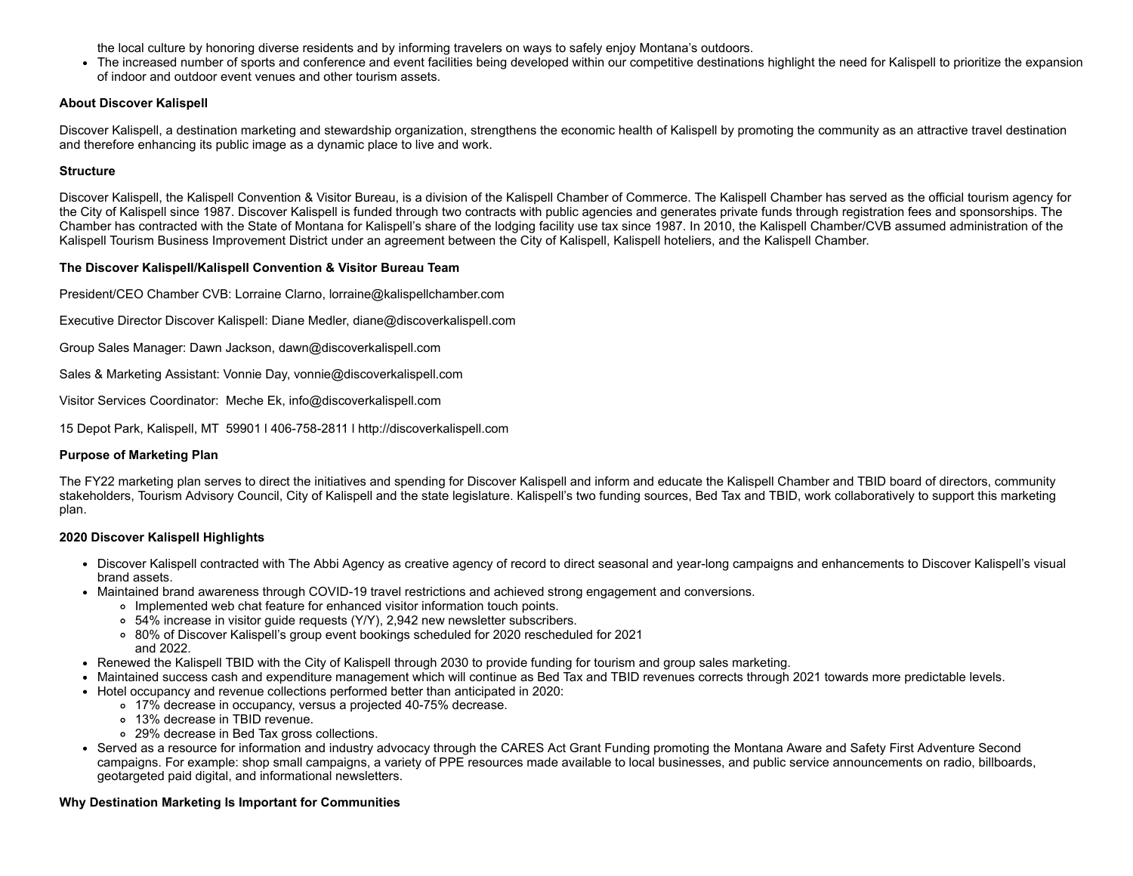the local culture by honoring diverse residents and by informing travelers on ways to safely enjoy Montana's outdoors.

The increased number of sports and conference and event facilities being developed within our competitive destinations highlight the need for Kalispell to prioritize the expansion of indoor and outdoor event venues and other tourism assets.

### **About Discover Kalispell**

Discover Kalispell, a destination marketing and stewardship organization, strengthens the economic health of Kalispell by promoting the community as an attractive travel destination and therefore enhancing its public image as a dynamic place to live and work.

### **Structure**

Discover Kalispell, the Kalispell Convention & Visitor Bureau, is a division of the Kalispell Chamber of Commerce. The Kalispell Chamber has served as the official tourism agency for the City of Kalispell since 1987. Discover Kalispell is funded through two contracts with public agencies and generates private funds through registration fees and sponsorships. The Chamber has contracted with the State of Montana for Kalispell's share of the lodging facility use tax since 1987. In 2010, the Kalispell Chamber/CVB assumed administration of the Kalispell Tourism Business Improvement District under an agreement between the City of Kalispell, Kalispell hoteliers, and the Kalispell Chamber.

### **The Discover Kalispell/Kalispell Convention & Visitor Bureau Team**

President/CEO Chamber CVB: Lorraine Clarno, [lorraine@kalispellchamber.com](mailto:lorraine@kalispellchamber.com)

Executive Director Discover Kalispell: Diane Medler, [diane@discoverkalispell.com](mailto:diane@discoverkalispell.com)

Group Sales Manager: Dawn Jackson, [dawn@discoverkalispell.com](mailto:dawn@discoverkalispell.com)

Sales & Marketing Assistant: Vonnie Day, [vonnie@discoverkalispell.com](mailto:vonnie@discoverkalispell.com)

Visitor Services Coordinator: Meche Ek, [info@discoverkalispell.com](mailto:info@discoverkalispell.com)

15 Depot Park, Kalispell, MT 59901 l 406-758-2811 l [http://discoverkalispell.com](http://discoverkalispell.com/)

### **Purpose of Marketing Plan**

The FY22 marketing plan serves to direct the initiatives and spending for Discover Kalispell and inform and educate the Kalispell Chamber and TBID board of directors, community stakeholders, Tourism Advisory Council, City of Kalispell and the state legislature. Kalispell's two funding sources, Bed Tax and TBID, work collaboratively to support this marketing plan.

### **2020 Discover Kalispell Highlights**

- Discover Kalispell contracted with The Abbi Agency as creative agency of record to direct seasonal and year-long campaigns and enhancements to Discover Kalispell's visual brand assets.
- Maintained brand awareness through COVID-19 travel restrictions and achieved strong engagement and conversions.
	- Implemented web chat feature for enhanced visitor information touch points.
	- 54% increase in visitor guide requests (Y/Y), 2,942 new newsletter subscribers.
	- 80% of Discover Kalispell's group event bookings scheduled for 2020 rescheduled for 2021 and 2022.
- Renewed the Kalispell TBID with the City of Kalispell through 2030 to provide funding for tourism and group sales marketing.
- Maintained success cash and expenditure management which will continue as Bed Tax and TBID revenues corrects through 2021 towards more predictable levels.
- Hotel occupancy and revenue collections performed better than anticipated in 2020:
	- 17% decrease in occupancy, versus a projected 40-75% decrease.
		- 13% decrease in TBID revenue.
		- 29% decrease in Bed Tax gross collections.
- Served as a resource for information and industry advocacy through the CARES Act Grant Funding promoting the Montana Aware and Safety First Adventure Second campaigns. For example: shop small campaigns, a variety of PPE resources made available to local businesses, and public service announcements on radio, billboards, geotargeted paid digital, and informational newsletters.

### **Why Destination Marketing Is Important for Communities**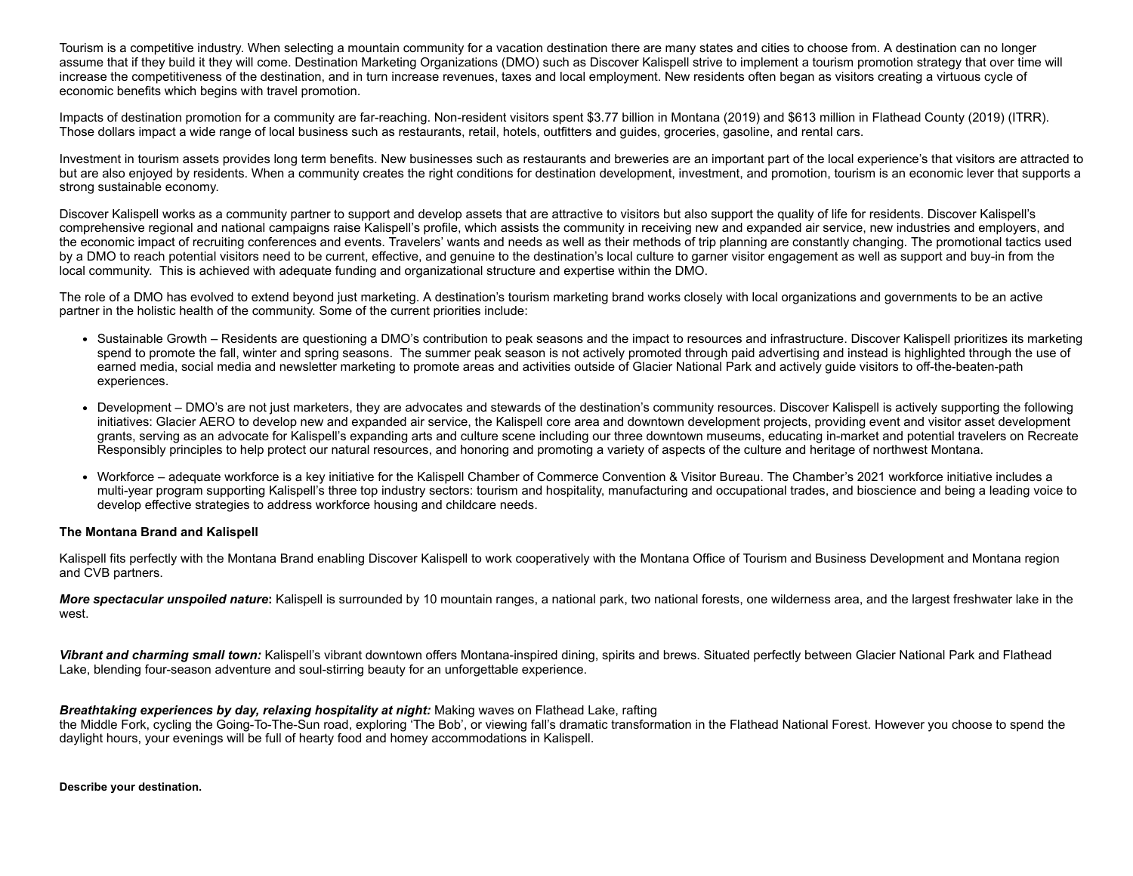Tourism is a competitive industry. When selecting a mountain community for a vacation destination there are many states and cities to choose from. A destination can no longer assume that if they build it they will come. Destination Marketing Organizations (DMO) such as Discover Kalispell strive to implement a tourism promotion strategy that over time will increase the competitiveness of the destination, and in turn increase revenues, taxes and local employment. New residents often began as visitors creating a virtuous cycle of economic benefits which begins with travel promotion.

Impacts of destination promotion for a community are far-reaching. Non-resident visitors spent \$3.77 billion in Montana (2019) and \$613 million in Flathead County (2019) (ITRR). Those dollars impact a wide range of local business such as restaurants, retail, hotels, outfitters and guides, groceries, gasoline, and rental cars.

Investment in tourism assets provides long term benefits. New businesses such as restaurants and breweries are an important part of the local experience's that visitors are attracted to but are also enjoyed by residents. When a community creates the right conditions for destination development, investment, and promotion, tourism is an economic lever that supports a strong sustainable economy.

Discover Kalispell works as a community partner to support and develop assets that are attractive to visitors but also support the quality of life for residents. Discover Kalispell's comprehensive regional and national campaigns raise Kalispell's profile, which assists the community in receiving new and expanded air service, new industries and employers, and the economic impact of recruiting conferences and events. Travelers' wants and needs as well as their methods of trip planning are constantly changing. The promotional tactics used by a DMO to reach potential visitors need to be current, effective, and genuine to the destination's local culture to garner visitor engagement as well as support and buy-in from the local community. This is achieved with adequate funding and organizational structure and expertise within the DMO.

The role of a DMO has evolved to extend beyond just marketing. A destination's tourism marketing brand works closely with local organizations and governments to be an active partner in the holistic health of the community. Some of the current priorities include:

- Sustainable Growth Residents are questioning a DMO's contribution to peak seasons and the impact to resources and infrastructure. Discover Kalispell prioritizes its marketing spend to promote the fall, winter and spring seasons. The summer peak season is not actively promoted through paid advertising and instead is highlighted through the use of earned media, social media and newsletter marketing to promote areas and activities outside of Glacier National Park and actively guide visitors to off-the-beaten-path experiences.
- Development DMO's are not just marketers, they are advocates and stewards of the destination's community resources. Discover Kalispell is actively supporting the following initiatives: Glacier AERO to develop new and expanded air service, the Kalispell core area and downtown development projects, providing event and visitor asset development grants, serving as an advocate for Kalispell's expanding arts and culture scene including our three downtown museums, educating in-market and potential travelers on Recreate Responsibly principles to help protect our natural resources, and honoring and promoting a variety of aspects of the culture and heritage of northwest Montana.
- Workforce adequate workforce is a key initiative for the Kalispell Chamber of Commerce Convention & Visitor Bureau. The Chamber's 2021 workforce initiative includes a multi-year program supporting Kalispell's three top industry sectors: tourism and hospitality, manufacturing and occupational trades, and bioscience and being a leading voice to develop effective strategies to address workforce housing and childcare needs.

### **The Montana Brand and Kalispell**

Kalispell fits perfectly with the Montana Brand enabling Discover Kalispell to work cooperatively with the Montana Office of Tourism and Business Development and Montana region and CVB partners.

*More spectacular unspoiled nature***:** Kalispell is surrounded by 10 mountain ranges, a national park, two national forests, one wilderness area, and the largest freshwater lake in the west.

*Vibrant and charming small town:* Kalispell's vibrant downtown offers Montana-inspired dining, spirits and brews. Situated perfectly between Glacier National Park and Flathead Lake, blending four-season adventure and soul-stirring beauty for an unforgettable experience.

#### *Breathtaking experiences by day, relaxing hospitality at night:* Making waves on Flathead Lake, rafting

the Middle Fork, cycling the Going-To-The-Sun road, exploring 'The Bob', or viewing fall's dramatic transformation in the Flathead National Forest. However you choose to spend the daylight hours, your evenings will be full of hearty food and homey accommodations in Kalispell.

**Describe your destination.**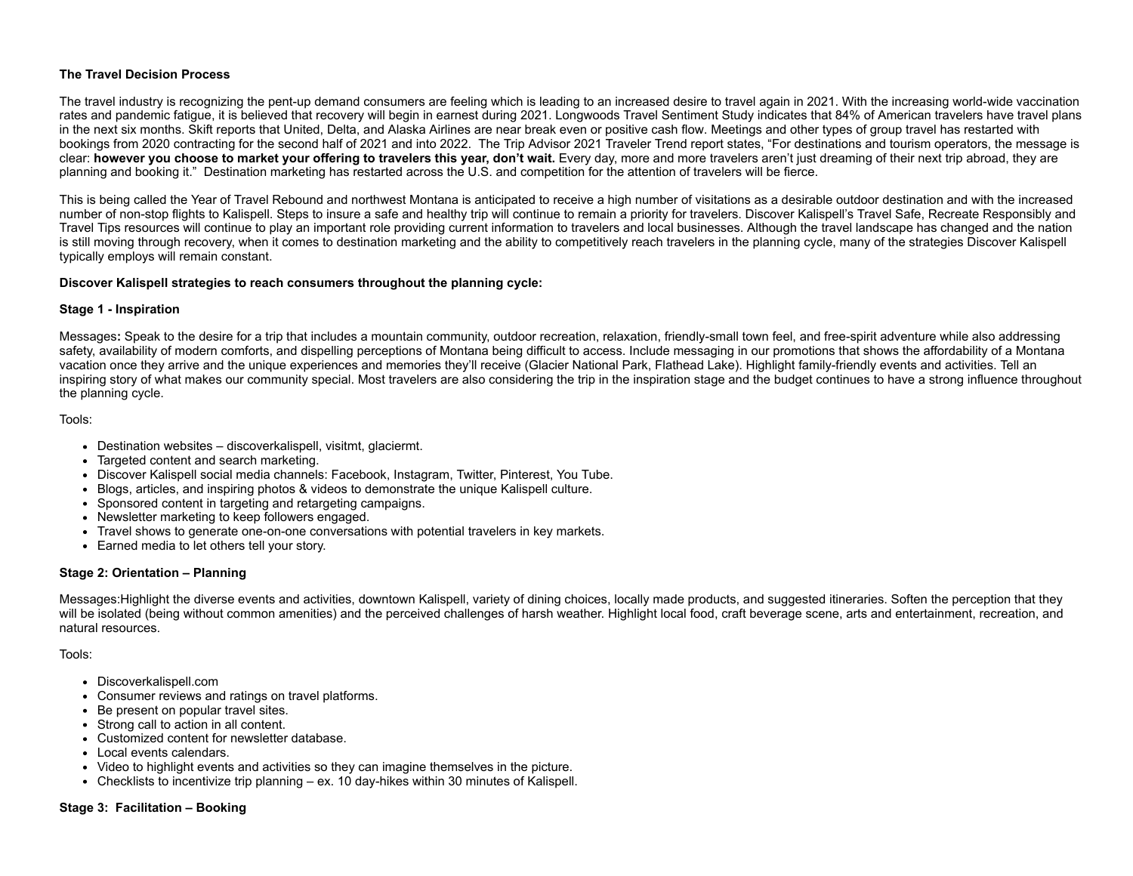### **The Travel Decision Process**

The travel industry is recognizing the pent-up demand consumers are feeling which is leading to an increased desire to travel again in 2021. With the increasing world-wide vaccination rates and pandemic fatigue, it is believed that recovery will begin in earnest during 2021. [Longwoods](https://www.nytimes.com/interactive/2021/world/covid-vaccinations-tracker.html) Travel Sentiment Study indicates that 84% of American travelers have travel plans in the next six months. Skift reports that United, Delta, and Alaska Airlines are near break even or [positive](https://skift.com/2021/03/15/delta-united-alaska-expect-to-break-even-by-april-as-travel-recovery-picks-up-steam/) cash flow. Meetings and other types of group travel has restarted with bookings from 2020 contracting for the second half of 2021 and into 2022. The Trip Advisor 2021 [Traveler](https://www.tripadvisor.com/InfoCenter-a_ctr.2021TravelTrends) Trend report states, "For destinations and tourism operators, the message is clear: however you choose to market your offering to travelers this year, don't wait. Every day, more and more travelers aren't just dreaming of their next trip abroad, they are planning and booking it." Destination marketing has restarted across the U.S. and competition for the attention of travelers will be fierce.

This is being called the Year of Travel Rebound and northwest Montana is anticipated to receive a high number of visitations as a desirable outdoor destination and with the increased number of non-stop flights to Kalispell. Steps to insure a safe and healthy trip will continue to remain a priority for travelers. Discover Kalispell's [Travel](https://discoverkalispell.com/travelsafe/) Safe, Recreate [Responsibly](https://discoverkalispell.com/recreate-responsibly/) and Travel Tips resources will continue to play an important role providing current information to travelers and local businesses. Although the travel landscape has changed and the nation is still moving through recovery, when it comes to destination marketing and the ability to competitively reach travelers in the planning cycle, many of the strategies Discover Kalispell typically employs will remain constant.

### **Discover Kalispell strategies to reach consumers throughout the planning cycle:**

### **Stage 1 - Inspiration**

Messages**:** Speak to the desire for a trip that includes a mountain community, outdoor recreation, relaxation, friendly-small town feel, and free-spirit adventure while also addressing safety, availability of modern comforts, and dispelling perceptions of Montana being difficult to access. Include messaging in our promotions that shows the affordability of a Montana vacation once they arrive and the unique experiences and memories they'll receive (Glacier National Park, Flathead Lake). Highlight family-friendly events and activities. Tell an inspiring story of what makes our community special. Most travelers are also considering the trip in the inspiration stage and the budget continues to have a strong influence throughout the planning cycle.

Tools:

- Destination websites discoverkalispell, visitmt, glaciermt.
- Targeted content and search marketing.
- Discover Kalispell social media channels: Facebook, Instagram, Twitter, Pinterest, You Tube.  $\bullet$
- Blogs, articles, and inspiring photos & videos to demonstrate the unique Kalispell culture.
- Sponsored content in targeting and retargeting campaigns.
- Newsletter marketing to keep followers engaged.
- Travel shows to generate one-on-one conversations with potential travelers in key markets.
- Earned media to let others tell your story.

### **Stage 2: Orientation – Planning**

Messages:Highlight the diverse events and activities, downtown Kalispell, variety of dining choices, locally made products, and suggested itineraries. Soften the perception that they will be isolated (being without common amenities) and the perceived challenges of harsh weather. Highlight local food, craft beverage scene, arts and entertainment, recreation, and natural resources.

Tools:

- Discoverkalispell.com
- Consumer reviews and ratings on travel platforms.
- Be present on popular travel sites.
- Strong call to action in all content.
- Customized content for newsletter database.
- Local events calendars.
- Video to highlight events and activities so they can imagine themselves in the picture.
- Checklists to incentivize trip planning ex. 10 day-hikes within 30 minutes of Kalispell.

### **Stage 3: Facilitation – Booking**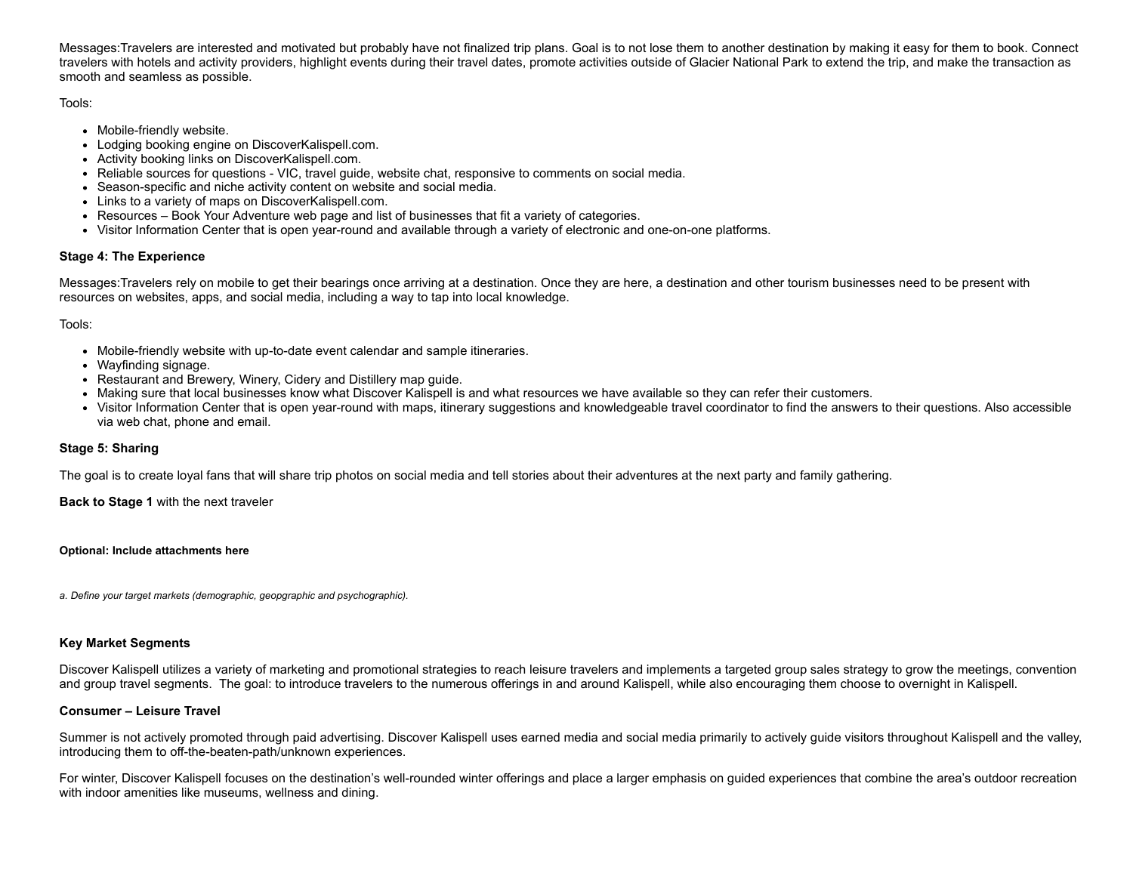Messages:Travelers are interested and motivated but probably have not finalized trip plans. Goal is to not lose them to another destination by making it easy for them to book. Connect travelers with hotels and activity providers, highlight events during their travel dates, promote activities outside of Glacier National Park to extend the trip, and make the transaction as smooth and seamless as possible.

Tools:

- Mobile-friendly website.
- Lodging booking engine on DiscoverKalispell.com.
- Activity booking links on DiscoverKalispell.com.
- Reliable sources for questions VIC, travel guide, website chat, responsive to comments on social media.
- Season-specific and niche activity content on website and social media.
- Links to a variety of maps on DiscoverKalispell.com.
- Resources Book Your Adventure web page and list of businesses that fit a variety of categories.
- Visitor Information Center that is open year-round and available through a variety of electronic and one-on-one platforms.

### **Stage 4: The Experience**

Messages:Travelers rely on mobile to get their bearings once arriving at a destination. Once they are here, a destination and other tourism businesses need to be present with resources on websites, apps, and social media, including a way to tap into local knowledge.

Tools:

- Mobile-friendly website with up-to-date event calendar and sample itineraries.
- Wayfinding signage.
- Restaurant and Brewery, Winery, Cidery and Distillery map guide.
- Making sure that local businesses know what Discover Kalispell is and what resources we have available so they can refer their customers.
- Visitor Information Center that is open year-round with maps, itinerary suggestions and knowledgeable travel coordinator to find the answers to their questions. Also accessible via web chat, phone and email.

### **Stage 5: Sharing**

The goal is to create loyal fans that will share trip photos on social media and tell stories about their adventures at the next party and family gathering.

**Back to Stage 1** with the next traveler

**Optional: Include attachments here**

*a. Define your target markets (demographic, geopgraphic and psychographic).*

### **Key Market Segments**

Discover Kalispell utilizes a variety of marketing and promotional strategies to reach leisure travelers and implements a targeted group sales strategy to grow the meetings, convention and group travel segments. The goal: to introduce travelers to the numerous offerings in and around Kalispell, while also encouraging them choose to overnight in Kalispell.

### **Consumer – Leisure Travel**

Summer is not actively promoted through paid advertising. Discover Kalispell uses earned media and social media primarily to actively guide visitors throughout Kalispell and the valley, introducing them to off-the-beaten-path/unknown experiences.

For winter, Discover Kalispell focuses on the destination's well-rounded winter offerings and place a larger emphasis on guided experiences that combine the area's outdoor recreation with indoor amenities like museums, wellness and dining.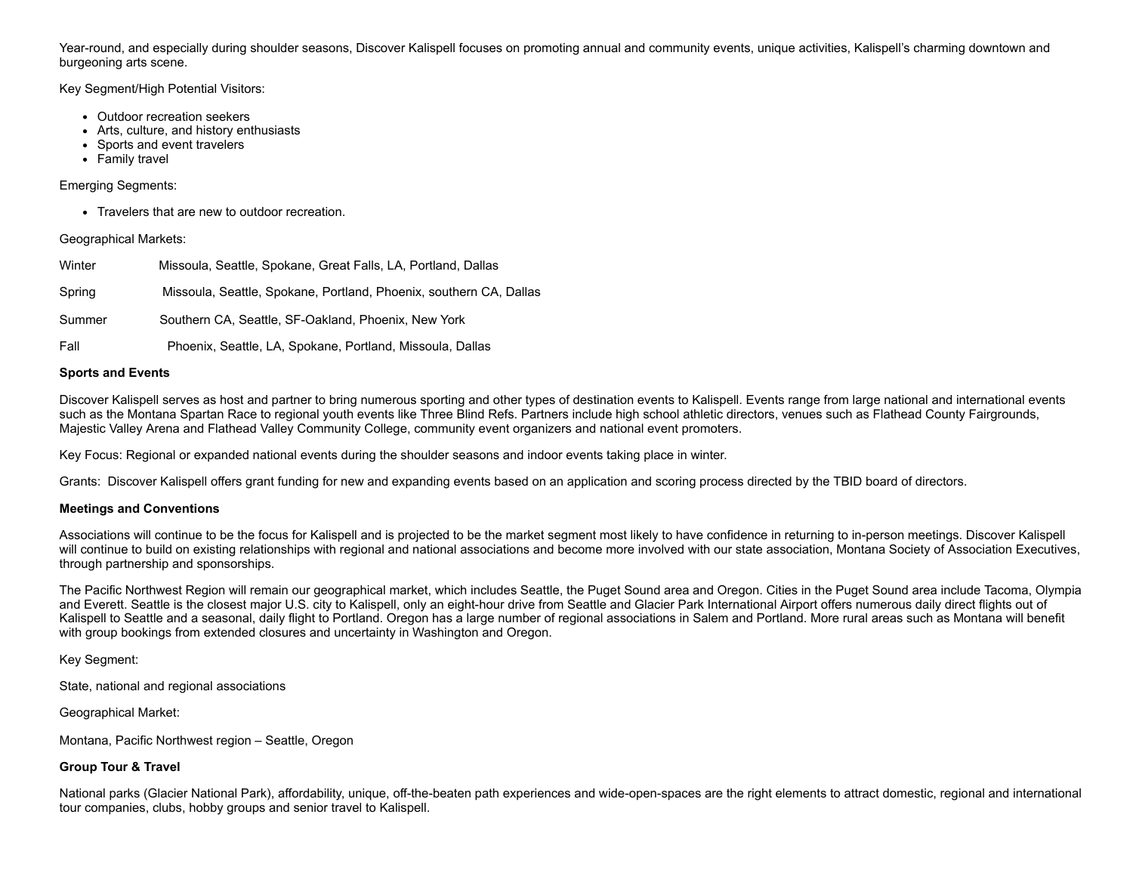Year-round, and especially during shoulder seasons, Discover Kalispell focuses on promoting annual and community events, unique activities, Kalispell's charming downtown and burgeoning arts scene.

### Key Segment/High Potential Visitors:

- Outdoor recreation seekers
- Arts, culture, and history enthusiasts
- Sports and event travelers
- Family travel

### Emerging Segments:

Travelers that are new to outdoor recreation.

### Geographical Markets:

| Winter | Missoula, Seattle, Spokane, Great Falls, LA, Portland, Dallas      |
|--------|--------------------------------------------------------------------|
| Spring | Missoula, Seattle, Spokane, Portland, Phoenix, southern CA, Dallas |
| Summer | Southern CA, Seattle, SF-Oakland, Phoenix, New York                |
| Fall   | Phoenix, Seattle, LA, Spokane, Portland, Missoula, Dallas          |

### **Sports and Events**

Discover Kalispell serves as host and partner to bring numerous sporting and other types of destination events to Kalispell. Events range from large national and international events such as the Montana Spartan Race to regional youth events like Three Blind Refs. Partners include high school athletic directors, venues such as Flathead County Fairgrounds, Majestic Valley Arena and Flathead Valley Community College, community event organizers and national event promoters.

Key Focus: Regional or expanded national events during the shoulder seasons and indoor events taking place in winter.

Grants: Discover Kalispell offers grant [funding](https://discoverkalispell.com/grants/) for new and expanding events based on an application and scoring process directed by the TBID board of directors.

### **Meetings and Conventions**

Associations will continue to be the focus for Kalispell and is projected to be the market segment most likely to have confidence in returning to in-person meetings. Discover Kalispell will continue to build on existing relationships with regional and national associations and become more involved with our state association, Montana Society of Association Executives, through partnership and sponsorships.

The Pacific Northwest Region will remain our geographical market, which includes Seattle, the Puget Sound area and Oregon. Cities in the Puget Sound area include Tacoma, Olympia and Everett. Seattle is the closest major U.S. city to Kalispell, only an eight-hour drive from Seattle and Glacier Park International Airport offers numerous daily direct flights out of Kalispell to Seattle and a seasonal, daily flight to Portland. Oregon has a large number of regional associations in Salem and Portland. More rural areas such as Montana will benefit with group bookings from extended closures and uncertainty in Washington and Oregon.

Key Segment:

State, national and regional associations

Geographical Market:

Montana, Pacific Northwest region – Seattle, Oregon

### **Group Tour & Travel**

National parks (Glacier National Park), affordability, unique, off-the-beaten path experiences and wide-open-spaces are the right elements to attract domestic, regional and international tour companies, clubs, hobby groups and senior travel to Kalispell.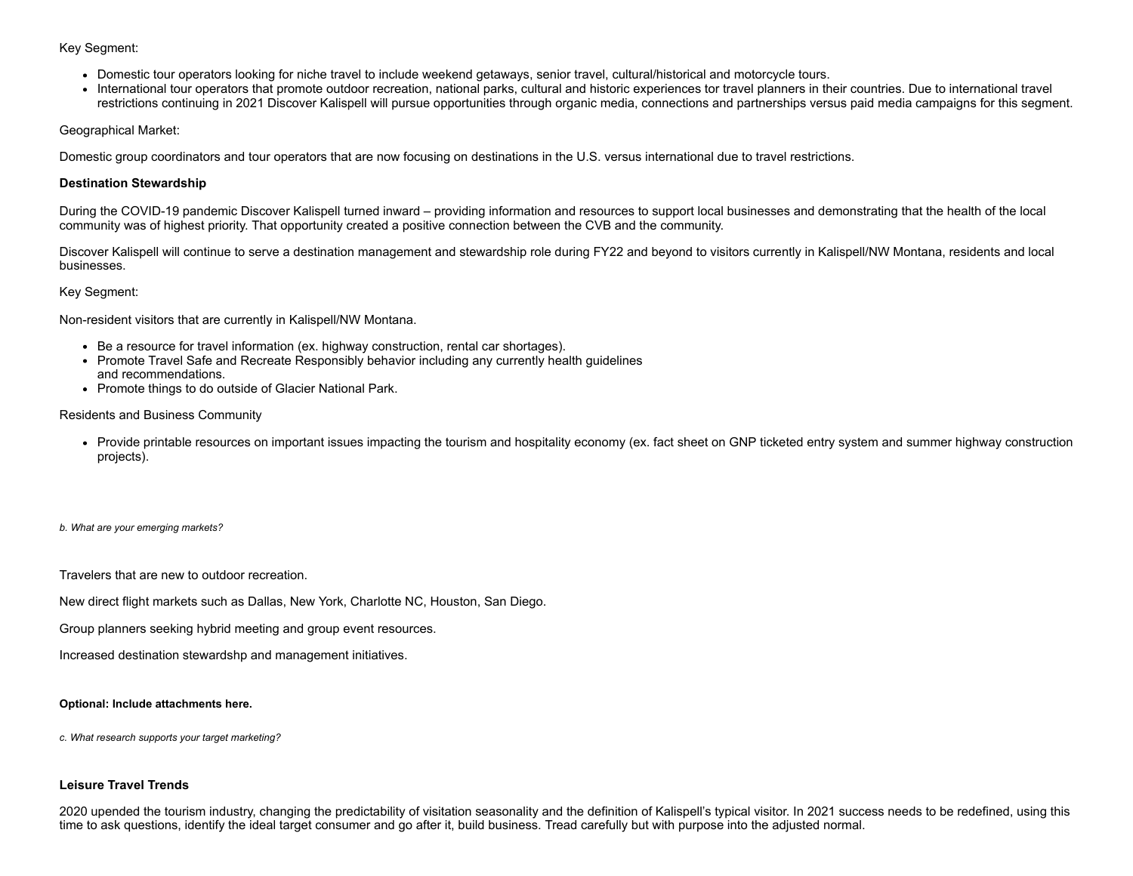### Key Segment:

- Domestic tour operators looking for niche travel to include weekend getaways, senior travel, cultural/historical and motorcycle tours.
- International tour operators that promote outdoor recreation, national parks, cultural and historic experiences tor travel planners in their countries. Due to international travel restrictions continuing in 2021 Discover Kalispell will pursue opportunities through organic media, connections and partnerships versus paid media campaigns for this segment.

### Geographical Market:

Domestic group coordinators and tour operators that are now focusing on destinations in the U.S. versus international due to travel restrictions.

### **Destination Stewardship**

During the COVID-19 pandemic Discover Kalispell turned inward – providing information and resources to support local businesses and demonstrating that the health of the local community was of highest priority. That opportunity created a positive connection between the CVB and the community.

Discover Kalispell will continue to serve a destination management and stewardship role during FY22 and beyond to visitors currently in Kalispell/NW Montana, residents and local businesses.

### Key Segment:

Non-resident visitors that are currently in Kalispell/NW Montana.

- Be a resource for travel information (ex. highway construction, rental car shortages).
- Promote Travel Safe and Recreate Responsibly behavior including any currently health guidelines and recommendations.
- Promote things to do outside of Glacier National Park.

### Residents and Business Community

Provide printable resources on important issues impacting the tourism and hospitality economy (ex. fact sheet on GNP ticketed entry system and summer highway construction projects).

### *b. What are your emerging markets?*

Travelers that are new to outdoor recreation.

New direct flight markets such as Dallas, New York, Charlotte NC, Houston, San Diego.

Group planners seeking hybrid meeting and group event resources.

Increased destination stewardshp and management initiatives.

### **Optional: Include attachments here.**

*c. What research supports your target marketing?*

### **Leisure Travel Trends**

2020 upended the tourism industry, changing the predictability of visitation seasonality and the definition of Kalispell's typical visitor. In 2021 success needs to be redefined, using this time to ask questions, identify the ideal target consumer and go after it, build business. Tread carefully but with purpose into the adjusted normal.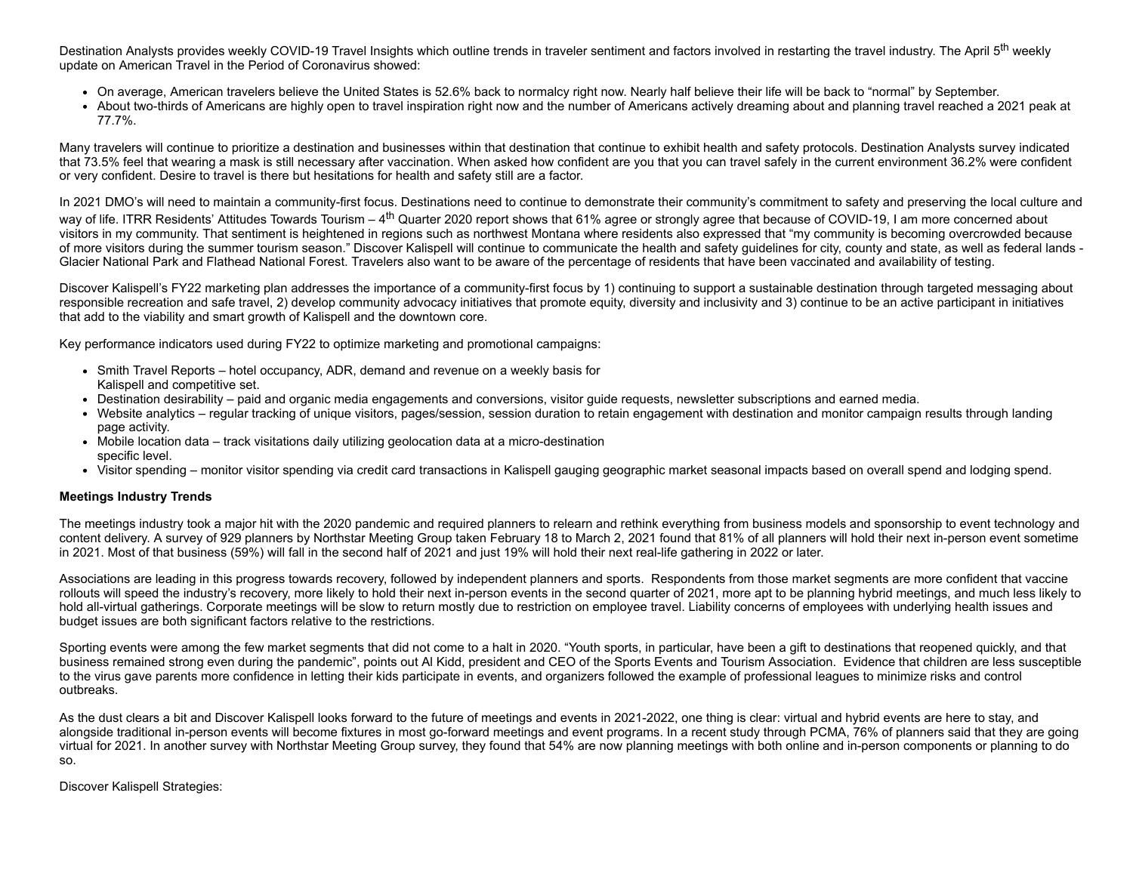[Destination](https://www.destinationanalysts.com/covid-19-insights/) Analysts provides weekly COVID-19 Travel Insights which outline trends in traveler sentiment and factors involved in restarting the travel industry. The April 5<sup>th</sup> weekly update on American Travel in the Period of Coronavirus showed:

- On average, American travelers believe the United States is 52.6% back to normalcy right now. Nearly half believe their life will be back to "normal" by September.
- About two-thirds of Americans are highly open to travel inspiration right now and the number of Americans actively dreaming about and planning travel reached a 2021 peak at 77.7%.

Many travelers will continue to prioritize a destination and businesses within that destination that continue to exhibit health and safety protocols. Destination Analysts survey indicated that 73.5% feel that wearing a mask is still necessary after vaccination. When asked how confident are you that you can travel safely in the current environment 36.2% were confident or very confident. Desire to travel is there but hesitations for health and safety still are a factor.

In 2021 DMO's will need to maintain a community-first focus. Destinations need to continue to demonstrate their community's commitment to safety and preserving the local culture and way of life. ITRR Residents' Attitudes Towards Tourism – 4<sup>th</sup> Quarter 2020 report shows that 61% agree or strongly agree that because of COVID-19, I am more concerned about visitors in my community. That sentiment is heightened in regions such as northwest Montana where residents also expressed that "my community is becoming overcrowded because of more visitors during the summer tourism season." Discover Kalispell will continue to communicate the health and safety guidelines for city, county and state, as well as federal lands - Glacier National Park and Flathead National Forest. Travelers also want to be aware of the percentage of residents that have been vaccinated and availability of testing.

Discover Kalispell's FY22 marketing plan addresses the importance of a community-first focus by 1) continuing to support a sustainable destination through targeted messaging about responsible recreation and safe travel, 2) develop community advocacy initiatives that promote equity, diversity and inclusivity and 3) continue to be an active participant in initiatives that add to the viability and smart growth of Kalispell and the downtown core.

Key performance indicators used during FY22 to optimize marketing and promotional campaigns:

- Smith Travel Reports hotel occupancy, ADR, demand and revenue on a weekly basis for Kalispell and competitive set.
- Destination desirability paid and organic media engagements and conversions, visitor guide requests, newsletter subscriptions and earned media.
- Website analytics regular tracking of unique visitors, pages/session, session duration to retain engagement with destination and monitor campaign results through landing page activity.
- Mobile location data track visitations daily utilizing geolocation data at a micro-destination specific level.
- Visitor spending monitor visitor spending via credit card transactions in Kalispell gauging geographic market seasonal impacts based on overall spend and lodging spend.

### **Meetings Industry Trends**

The meetings industry took a major hit with the 2020 pandemic and required planners to relearn and rethink everything from business models and sponsorship to event technology and content delivery. A survey of 929 planners by Northstar Meeting Group taken February 18 to March 2, 2021 found that 81% of all planners will hold their next in-person event sometime in 2021. Most of that business (59%) will fall in the second half of 2021 and just 19% will hold their next real-life gathering in 2022 or later.

Associations are leading in this progress towards recovery, followed by independent planners and sports. Respondents from those market segments are more confident that vaccine rollouts will speed the industry's recovery, more likely to hold their next in-person events in the second quarter of 2021, more apt to be planning hybrid meetings, and much less likely to hold all-virtual gatherings. Corporate meetings will be slow to return mostly due to restriction on employee travel. Liability concerns of employees with underlying health issues and budget issues are both significant factors relative to the restrictions.

Sporting events were among the few market segments that did not come to a halt in 2020. "Youth sports, in particular, have been a gift to destinations that reopened quickly, and that business remained strong even during the pandemic", points out Al Kidd, president and CEO of the Sports Events and Tourism Association. Evidence that children are less susceptible to the virus gave parents more confidence in letting their kids participate in events, and organizers followed the example of professional leagues to minimize risks and control outbreaks.

As the dust clears a bit and Discover Kalispell looks forward to the future of meetings and events in 2021-2022, one thing is clear: virtual and hybrid events are here to stay, and alongside traditional in-person events will become fixtures in most go-forward meetings and event programs. In a recent study through PCMA, 76% of planners said that they are going virtual for 2021. In another survey with Northstar Meeting Group survey, they found that 54% are now planning meetings with both online and in-person components or planning to do so.

Discover Kalispell Strategies: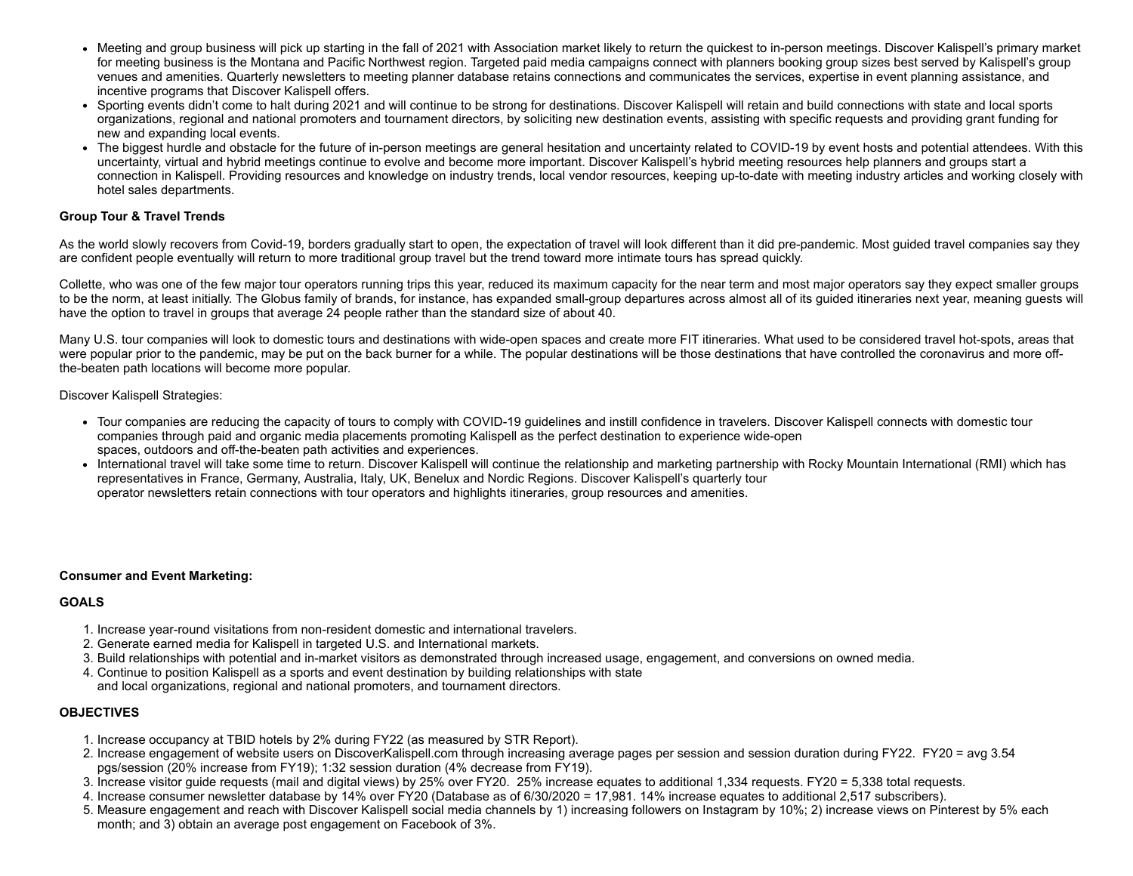- Meeting and group business will pick up starting in the fall of 2021 with Association market likely to return the quickest to in-person meetings. Discover Kalispell's primary market for meeting business is the Montana and Pacific Northwest region. Targeted paid media campaigns connect with planners booking group sizes best served by Kalispell's group venues and amenities. Quarterly newsletters to meeting planner database retains connections and communicates the services, expertise in event planning assistance, and incentive programs that Discover Kalispell offers.
- Sporting events didn't come to halt during 2021 and will continue to be strong for destinations. Discover Kalispell will retain and build connections with state and local sports organizations, regional and national promoters and tournament directors, by soliciting new destination events, assisting with specific requests and providing grant funding for new and expanding local events.
- The biggest hurdle and obstacle for the future of in-person meetings are general hesitation and uncertainty related to COVID-19 by event hosts and potential attendees. With this [uncertainty,](https://discoverkalispell.com/meetings/start-your-connection-in-kalispell/) virtual and hybrid meetings continue to evolve and become more important. Discover Kalispell's hybrid meeting resources help planners and groups start a connection in Kalispell. Providing resources and knowledge on industry trends, local vendor resources, keeping up-to-date with meeting industry articles and working closely with hotel sales departments.

### **Group Tour & Travel Trends**

As the world slowly recovers from Covid-19, borders gradually start to open, the expectation of travel will look different than it did pre-pandemic. Most guided travel companies say they are confident people eventually will return to more traditional group travel but the trend toward more intimate tours has spread quickly.

Collette, who was one of the few major tour operators running trips this year, reduced its maximum capacity for the near term and most major operators say they expect smaller groups to be the norm, at least initially. The Globus family of brands, for instance, has expanded small-group departures across almost all of its guided itineraries next year, meaning guests will have the option to travel in groups that average 24 people rather than the standard size of about 40.

Many U.S. tour companies will look to domestic tours and destinations with wide-open spaces and create more FIT itineraries. What used to be considered travel hot-spots, areas that were popular prior to the pandemic, may be put on the back burner for a while. The popular destinations will be those destinations that have controlled the coronavirus and more offthe-beaten path locations will become more popular.

Discover Kalispell Strategies:

- Tour companies are reducing the capacity of tours to comply with COVID-19 guidelines and instill confidence in travelers. Discover Kalispell connects with domestic tour companies through paid and organic media placements promoting Kalispell as the perfect destination to experience wide-open spaces, outdoors and off-the-beaten path activities and experiences.
- International travel will take some time to return. Discover Kalispell will continue the relationship and marketing partnership with Rocky Mountain International (RMI) which has representatives in France, Germany, Australia, Italy, UK, Benelux and Nordic Regions. Discover Kalispell's quarterly tour operator newsletters retain connections with tour operators and highlights itineraries, group resources and amenities.

### **Consumer and Event Marketing:**

### **GOALS**

- 1. Increase year-round visitations from non-resident domestic and international travelers.
- 2. Generate earned media for Kalispell in targeted U.S. and International markets.
- 3. Build relationships with potential and in-market visitors as demonstrated through increased usage, engagement, and conversions on owned media.
- 4. Continue to position Kalispell as a sports and event destination by building relationships with state and local organizations, regional and national promoters, and tournament directors.

### **OBJECTIVES**

- 1. Increase occupancy at TBID hotels by 2% during FY22 (as measured by STR Report).
- 2. Increase engagement of website users on DiscoverKalispell.com through increasing average pages per session and session duration during FY22. FY20 = avg 3.54 pgs/session (20% increase from FY19); 1:32 session duration (4% decrease from FY19).
- 3. Increase visitor guide requests (mail and digital views) by 25% over FY20. 25% increase equates to additional 1,334 requests. FY20 = 5,338 total requests.
- 4. Increase consumer newsletter database by 14% over FY20 (Database as of 6/30/2020 = 17,981. 14% increase equates to additional 2,517 subscribers).
- 5. Measure engagement and reach with Discover Kalispell social media channels by 1) increasing followers on Instagram by 10%; 2) increase views on Pinterest by 5% each month; and 3) obtain an average post engagement on Facebook of 3%.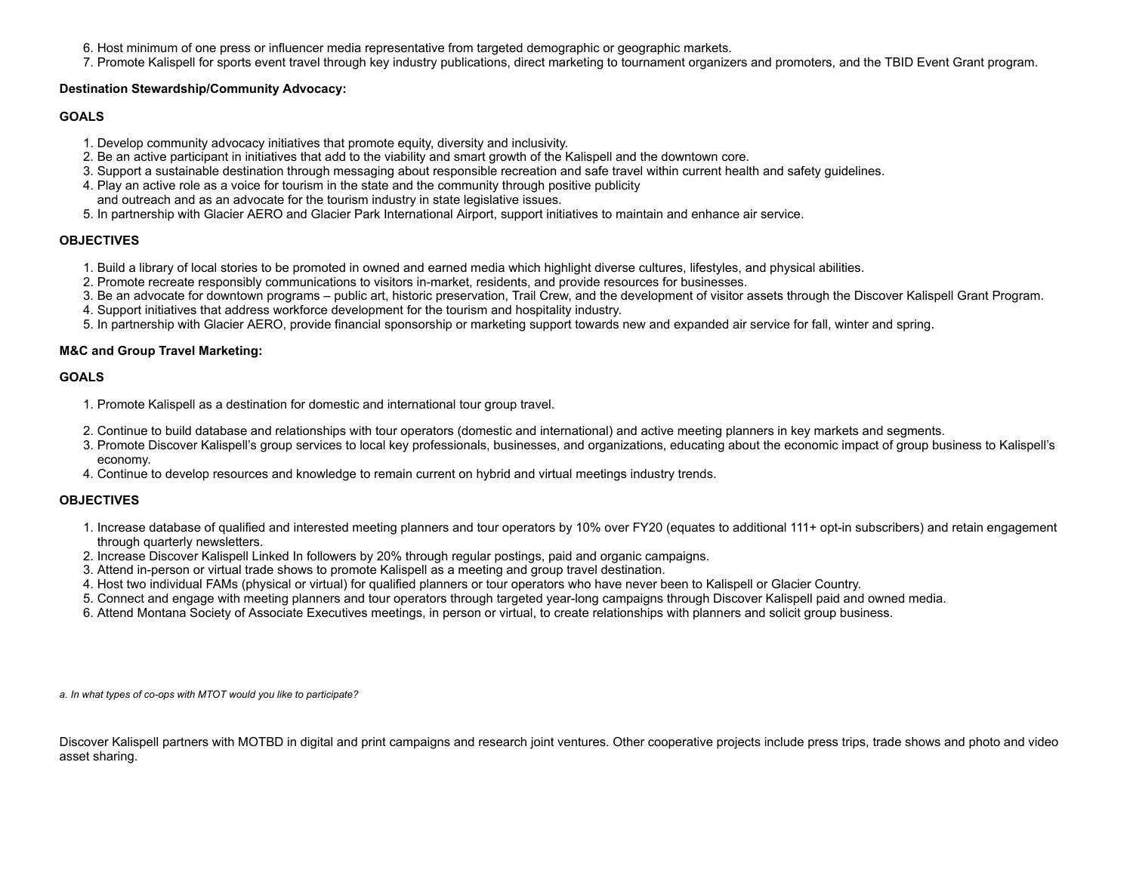- 6. Host minimum of one press or influencer media representative from targeted demographic or geographic markets.
- 7. Promote Kalispell for sports event travel through key industry publications, direct marketing to tournament organizers and promoters, and the TBID Event Grant program.

### **Destination Stewardship/Community Advocacy:**

### **GOALS**

- 1. Develop community advocacy initiatives that promote equity, diversity and inclusivity.
- 2. Be an active participant in initiatives that add to the viability and smart growth of the Kalispell and the downtown core.
- 3. Support a sustainable destination through messaging about responsible recreation and safe travel within current health and safety guidelines.
- 4. Play an active role as a voice for tourism in the state and the community through positive publicity and outreach and as an advocate for the tourism industry in state legislative issues.
- 5. In partnership with Glacier AERO and Glacier Park International Airport, support initiatives to maintain and enhance air service.

### **OBJECTIVES**

- 1. Build a library of local stories to be promoted in owned and earned media which highlight diverse cultures, lifestyles, and physical abilities.
- 2. Promote recreate responsibly communications to visitors in-market, residents, and provide resources for businesses.
- 3. Be an advocate for downtown programs public art, historic preservation, Trail Crew, and the development of visitor assets through the Discover Kalispell Grant Program.
- 4. Support initiatives that address workforce development for the tourism and hospitality industry.
- 5. In partnership with Glacier AERO, provide financial sponsorship or marketing support towards new and expanded air service for fall, winter and spring.

### **M&C and Group Travel Marketing:**

### **GOALS**

- 1. Promote Kalispell as a destination for domestic and international tour group travel.
- 2. Continue to build database and relationships with tour operators (domestic and international) and active meeting planners in key markets and segments.
- 3. Promote Discover Kalispell's group services to local key professionals, businesses, and organizations, educating about the economic impact of group business to Kalispell's economy.
- 4. Continue to develop resources and knowledge to remain current on hybrid and virtual meetings industry trends.

### **OBJECTIVES**

- 1. Increase database of qualified and interested meeting planners and tour operators by 10% over FY20 (equates to additional 111+ opt-in subscribers) and retain engagement through quarterly newsletters.
- 2. Increase Discover Kalispell Linked In followers by 20% through regular postings, paid and organic campaigns.
- 3. Attend in-person or virtual trade shows to promote Kalispell as a meeting and group travel destination.
- 4. Host two individual FAMs (physical or virtual) for qualified planners or tour operators who have never been to Kalispell or Glacier Country.
- 5. Connect and engage with meeting planners and tour operators through targeted year-long campaigns through Discover Kalispell paid and owned media.
- 6. Attend Montana Society of Associate Executives meetings, in person or virtual, to create relationships with planners and solicit group business.

*a. In what types of co-ops with MTOT would you like to participate?*

Discover Kalispell partners with MOTBD in digital and print campaigns and research joint ventures. Other cooperative projects include press trips, trade shows and photo and video asset sharing.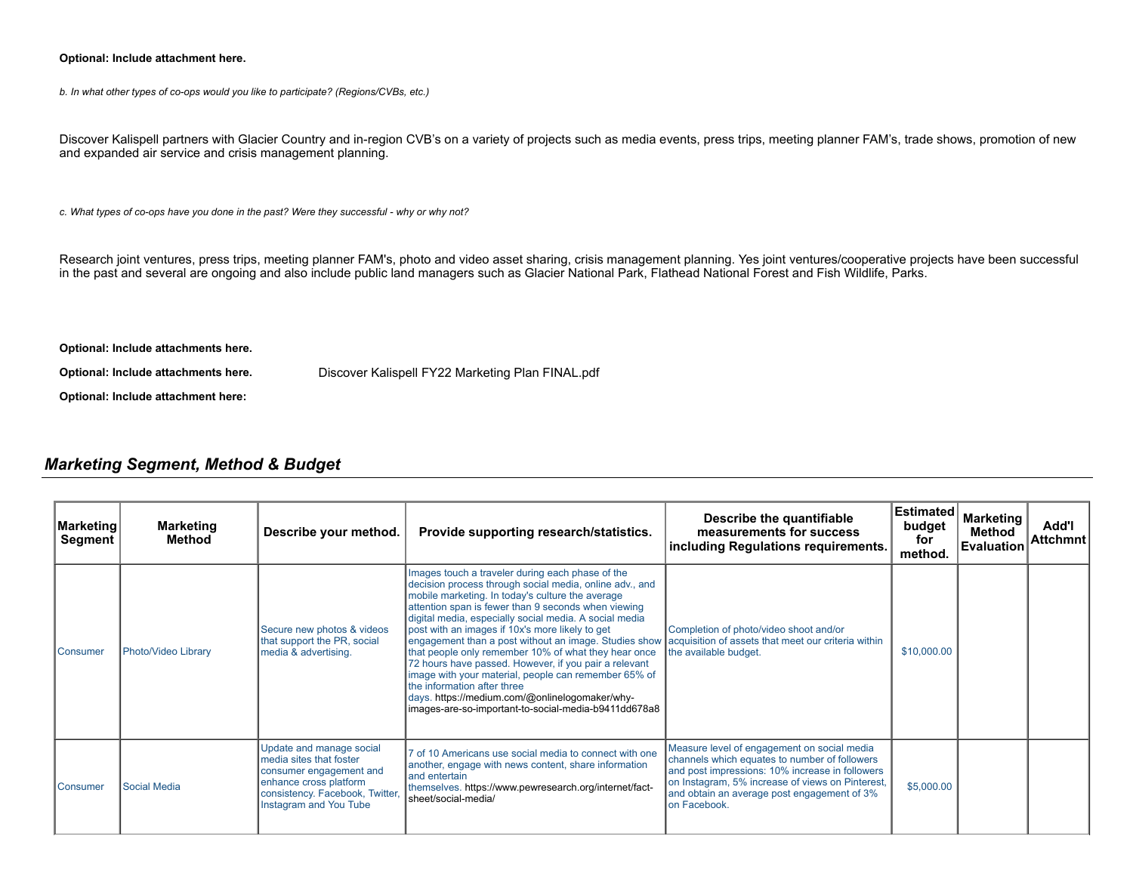### **Optional: Include attachment here.**

*b. In what other types of co-ops would you like to participate? (Regions/CVBs, etc.)*

Discover Kalispell partners with Glacier Country and in-region CVB's on a variety of projects such as media events, press trips, meeting planner FAM's, trade shows, promotion of new and expanded air service and crisis management planning.

*c. What types of co-ops have you done in the past? Were they successful - why or why not?*

Research joint ventures, press trips, meeting planner FAM's, photo and video asset sharing, crisis management planning. Yes joint ventures/cooperative projects have been successful in the past and several are ongoing and also include public land managers such as Glacier National Park, Flathead National Forest and Fish Wildlife, Parks.

**Optional: Include attachments here.**

**Optional: Include attachments here.** Discover Kalispell FY22 Marketing Plan [FINAL.pdf](https://funding.mt.gov/fileDownload.jsp?filename=1620145645071_Discover+Kalispell+FY22+Marketing+Plan+FINAL.pdf)

**Optional: Include attachment here:**

## *Marketing Segment, Method & Budget*

| Marketing<br>Segment | <b>Marketing</b><br>Method | Describe your method.                                                                                                                                                 | Provide supporting research/statistics.                                                                                                                                                                                                                                                                                                                                                                                                                                                                                                                                                                                                                                                                         | Describe the quantifiable<br>measurements for success<br>including Regulations requirements.                                                                                                                                                                        | Estimated<br>budget<br>for<br>method. | <b>Marketing</b><br>Method<br><b>Evaluation</b> | Add'l<br><b>Attchmnt</b> |
|----------------------|----------------------------|-----------------------------------------------------------------------------------------------------------------------------------------------------------------------|-----------------------------------------------------------------------------------------------------------------------------------------------------------------------------------------------------------------------------------------------------------------------------------------------------------------------------------------------------------------------------------------------------------------------------------------------------------------------------------------------------------------------------------------------------------------------------------------------------------------------------------------------------------------------------------------------------------------|---------------------------------------------------------------------------------------------------------------------------------------------------------------------------------------------------------------------------------------------------------------------|---------------------------------------|-------------------------------------------------|--------------------------|
| <b>I</b> Consumer    | Photo/Video Library        | Secure new photos & videos<br>that support the PR, social<br>media & advertising.                                                                                     | Images touch a traveler during each phase of the<br>decision process through social media, online adv., and<br>mobile marketing. In today's culture the average<br>attention span is fewer than 9 seconds when viewing<br>digital media, especially social media. A social media<br>post with an images if 10x's more likely to get<br>engagement than a post without an image. Studies show<br>that people only remember 10% of what they hear once<br>72 hours have passed. However, if you pair a relevant<br>image with your material, people can remember 65% of<br>the information after three<br>days. https://medium.com/@onlinelogomaker/why-<br>limages-are-so-important-to-social-media-b9411dd678a8 | Completion of photo/video shoot and/or<br>acquisition of assets that meet our criteria within<br>the available budget.                                                                                                                                              | \$10,000.00                           |                                                 |                          |
| <b>I</b> Consumer    | Social Media               | Update and manage social<br>media sites that foster<br>consumer engagement and<br>enhance cross platform<br>consistency. Facebook, Twitter,<br>Instagram and You Tube | 7 of 10 Americans use social media to connect with one<br>another, engage with news content, share information<br>land entertain<br>themselves. https://www.pewresearch.org/internet/fact-<br>sheet/social-media/                                                                                                                                                                                                                                                                                                                                                                                                                                                                                               | Measure level of engagement on social media<br>channels which equates to number of followers<br>and post impressions: 10% increase in followers<br>on Instagram, 5% increase of views on Pinterest,<br>and obtain an average post engagement of 3%<br>Ion Facebook. | \$5,000.00                            |                                                 |                          |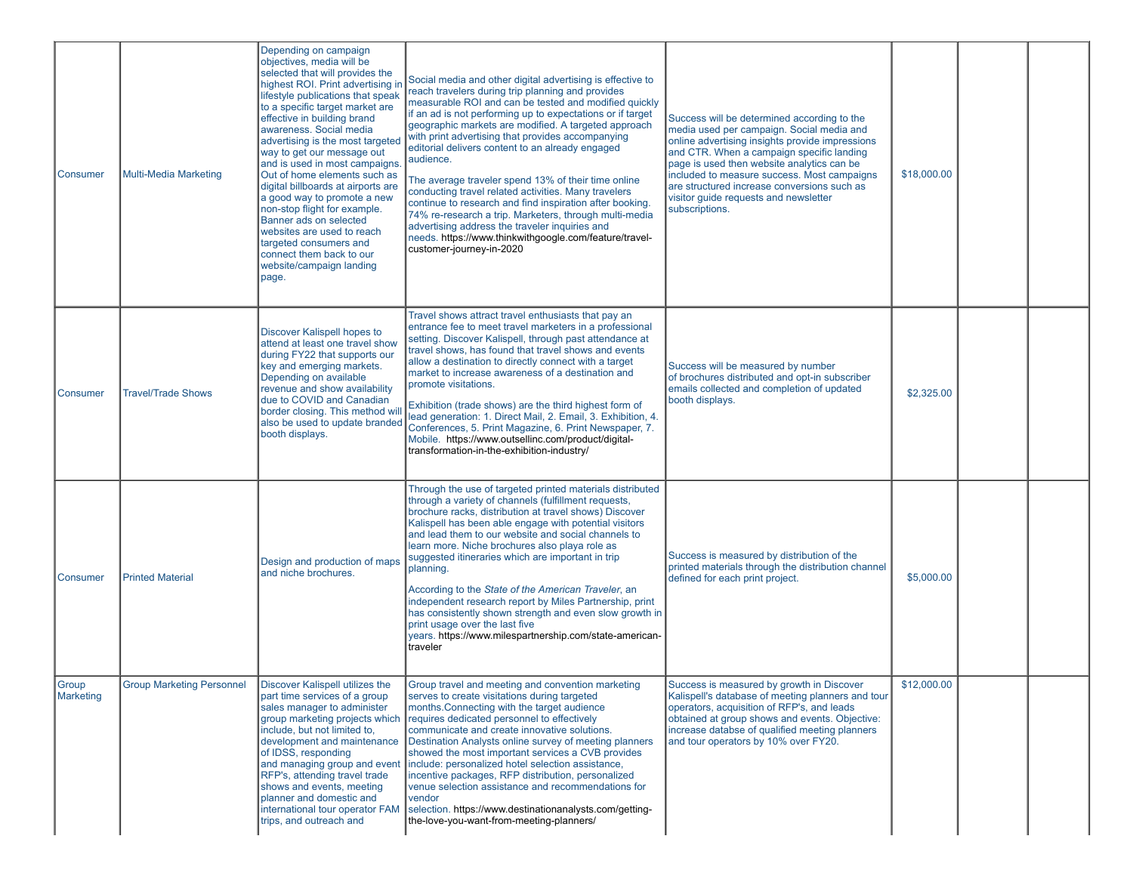| Consumer            | Multi-Media Marketing            | Depending on campaign<br>objectives, media will be<br>selected that will provides the<br>highest ROI. Print advertising in<br>lifestyle publications that speak<br>to a specific target market are<br>effective in building brand<br>awareness. Social media<br>advertising is the most targeted<br>way to get our message out<br>and is used in most campaigns<br>Out of home elements such as<br>digital billboards at airports are<br>a good way to promote a new<br>non-stop flight for example.<br>Banner ads on selected<br>websites are used to reach<br>targeted consumers and<br>connect them back to our<br>website/campaign landing<br>page. | Social media and other digital advertising is effective to<br>reach travelers during trip planning and provides<br>measurable ROI and can be tested and modified quickly<br>if an ad is not performing up to expectations or if target<br>geographic markets are modified. A targeted approach<br>with print advertising that provides accompanying<br>editorial delivers content to an already engaged<br>audience.<br>The average traveler spend 13% of their time online<br>conducting travel related activities. Many travelers<br>continue to research and find inspiration after booking.<br>74% re-research a trip. Marketers, through multi-media<br>advertising address the traveler inquiries and<br>needs. https://www.thinkwithgoogle.com/feature/travel-<br>customer-journey-in-2020 | Success will be determined according to the<br>media used per campaign. Social media and<br>online advertising insights provide impressions<br>and CTR. When a campaign specific landing<br>page is used then website analytics can be<br>included to measure success. Most campaigns<br>are structured increase conversions such as<br>visitor guide requests and newsletter<br>subscriptions. | \$18,000.00 |  |
|---------------------|----------------------------------|---------------------------------------------------------------------------------------------------------------------------------------------------------------------------------------------------------------------------------------------------------------------------------------------------------------------------------------------------------------------------------------------------------------------------------------------------------------------------------------------------------------------------------------------------------------------------------------------------------------------------------------------------------|---------------------------------------------------------------------------------------------------------------------------------------------------------------------------------------------------------------------------------------------------------------------------------------------------------------------------------------------------------------------------------------------------------------------------------------------------------------------------------------------------------------------------------------------------------------------------------------------------------------------------------------------------------------------------------------------------------------------------------------------------------------------------------------------------|-------------------------------------------------------------------------------------------------------------------------------------------------------------------------------------------------------------------------------------------------------------------------------------------------------------------------------------------------------------------------------------------------|-------------|--|
| Consumer            | <b>Travel/Trade Shows</b>        | Discover Kalispell hopes to<br>attend at least one travel show<br>during FY22 that supports our<br>key and emerging markets.<br>Depending on available<br>revenue and show availability<br>due to COVID and Canadian<br>border closing. This method will<br>also be used to update branded<br>booth displays.                                                                                                                                                                                                                                                                                                                                           | Travel shows attract travel enthusiasts that pay an<br>entrance fee to meet travel marketers in a professional<br>setting. Discover Kalispell, through past attendance at<br>travel shows, has found that travel shows and events<br>allow a destination to directly connect with a target<br>market to increase awareness of a destination and<br>promote visitations.<br>Exhibition (trade shows) are the third highest form of<br>lead generation: 1. Direct Mail, 2. Email, 3. Exhibition, 4.<br>Conferences, 5. Print Magazine, 6. Print Newspaper, 7.<br>Mobile. https://www.outsellinc.com/product/digital-<br>transformation-in-the-exhibition-industry/                                                                                                                                  | Success will be measured by number<br>of brochures distributed and opt-in subscriber<br>emails collected and completion of updated<br>booth displays.                                                                                                                                                                                                                                           | \$2,325.00  |  |
| Consumer            | <b>Printed Material</b>          | Design and production of maps<br>and niche brochures.                                                                                                                                                                                                                                                                                                                                                                                                                                                                                                                                                                                                   | Through the use of targeted printed materials distributed<br>through a variety of channels (fulfillment requests,<br>brochure racks, distribution at travel shows) Discover<br>Kalispell has been able engage with potential visitors<br>and lead them to our website and social channels to<br>learn more. Niche brochures also playa role as<br>suggested itineraries which are important in trip<br>planning.<br>According to the State of the American Traveler, an<br>independent research report by Miles Partnership, print<br>has consistently shown strength and even slow growth in<br>print usage over the last five<br>years. https://www.milespartnership.com/state-american-<br>traveler                                                                                            | Success is measured by distribution of the<br>printed materials through the distribution channel<br>defined for each print project.                                                                                                                                                                                                                                                             | \$5,000.00  |  |
| ∣Group<br>Marketing | <b>Group Marketing Personnel</b> | Discover Kalispell utilizes the<br>part time services of a group<br>sales manager to administer<br>group marketing projects which<br>include, but not limited to,<br>development and maintenance<br>of IDSS, responding<br>and managing group and event<br>RFP's, attending travel trade<br>shows and events, meeting<br>planner and domestic and<br>international tour operator FAM<br>trips, and outreach and                                                                                                                                                                                                                                         | Group travel and meeting and convention marketing<br>serves to create visitations during targeted<br>months. Connecting with the target audience<br>requires dedicated personnel to effectively<br>communicate and create innovative solutions.<br>Destination Analysts online survey of meeting planners<br>showed the most important services a CVB provides<br>include: personalized hotel selection assistance,<br>incentive packages, RFP distribution, personalized<br>venue selection assistance and recommendations for<br>vendor<br>selection. https://www.destinationanalysts.com/getting-<br>the-love-you-want-from-meeting-planners/                                                                                                                                                  | Success is measured by growth in Discover<br>Kalispell's database of meeting planners and tour<br>operators, acquisition of RFP's, and leads<br>obtained at group shows and events. Objective:<br>increase databse of qualified meeting planners<br>and tour operators by 10% over FY20.                                                                                                        | \$12,000.00 |  |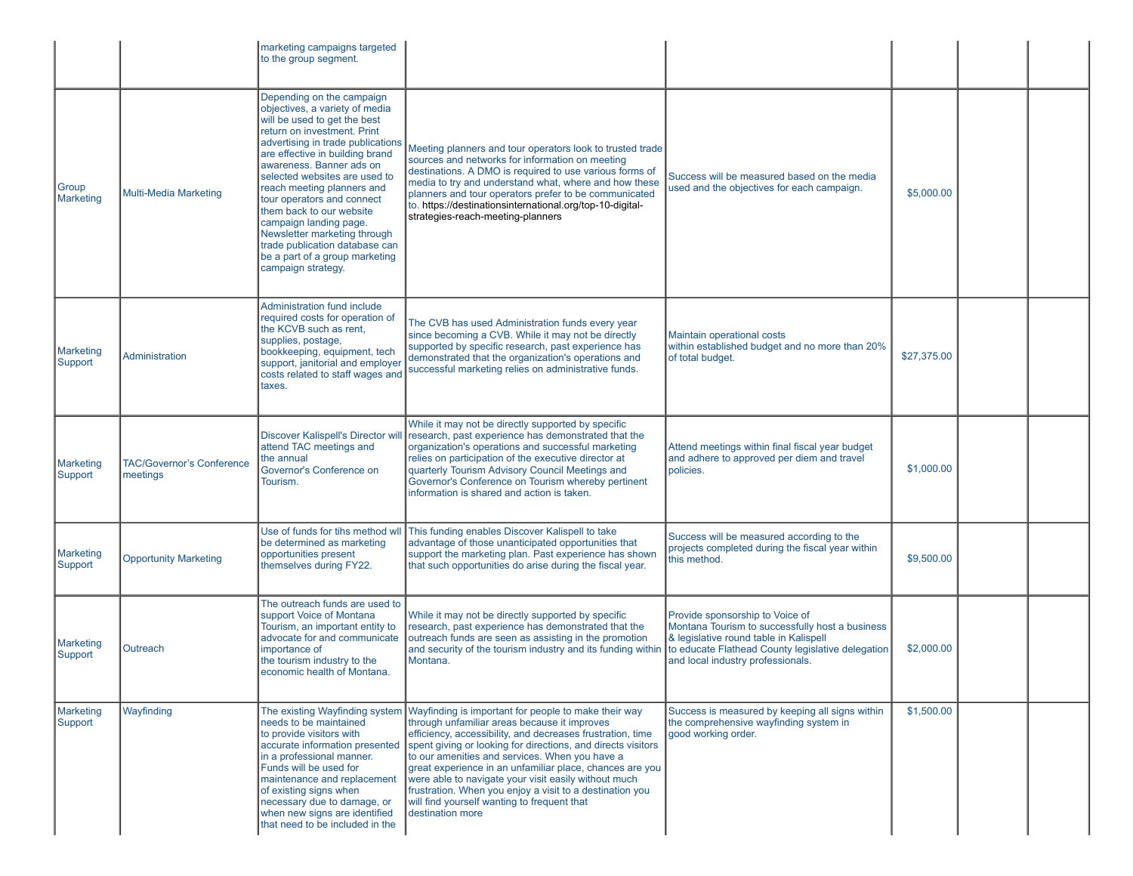|                             |                                              | marketing campaigns targeted<br>to the group segment.                                                                                                                                                                                                                                                                                                                                                                                                                                                       |                                                                                                                                                                                                                                                                                                                                                                                                                                                                                                                                         |                                                                                                                                                                                                                        |             |  |
|-----------------------------|----------------------------------------------|-------------------------------------------------------------------------------------------------------------------------------------------------------------------------------------------------------------------------------------------------------------------------------------------------------------------------------------------------------------------------------------------------------------------------------------------------------------------------------------------------------------|-----------------------------------------------------------------------------------------------------------------------------------------------------------------------------------------------------------------------------------------------------------------------------------------------------------------------------------------------------------------------------------------------------------------------------------------------------------------------------------------------------------------------------------------|------------------------------------------------------------------------------------------------------------------------------------------------------------------------------------------------------------------------|-------------|--|
| Group<br><b>Marketing</b>   | Multi-Media Marketing                        | Depending on the campaign<br>objectives, a variety of media<br>will be used to get the best<br>return on investment. Print<br>advertising in trade publications<br>are effective in building brand<br>awareness. Banner ads on<br>selected websites are used to<br>reach meeting planners and<br>tour operators and connect<br>them back to our website<br>campaign landing page.<br>Newsletter marketing through<br>trade publication database can<br>be a part of a group marketing<br>campaign strategy. | Meeting planners and tour operators look to trusted trade<br>sources and networks for information on meeting<br>destinations. A DMO is required to use various forms of<br>media to try and understand what, where and how these<br>planners and tour operators prefer to be communicated<br>to. https://destinationsinternational.org/top-10-digital-<br>strategies-reach-meeting-planners                                                                                                                                             | Success will be measured based on the media<br>used and the objectives for each campaign.                                                                                                                              | \$5,000.00  |  |
| <b>Marketing</b><br>Support | Administration                               | Administration fund include<br>required costs for operation of<br>the KCVB such as rent.<br>supplies, postage,<br>bookkeeping, equipment, tech<br>support, janitorial and employer<br>costs related to staff wages and<br>taxes.                                                                                                                                                                                                                                                                            | The CVB has used Administration funds every year<br>since becoming a CVB. While it may not be directly<br>supported by specific research, past experience has<br>demonstrated that the organization's operations and<br>successful marketing relies on administrative funds.                                                                                                                                                                                                                                                            | Maintain operational costs<br>within established budget and no more than 20%<br>of total budget.                                                                                                                       | \$27,375.00 |  |
| <b>Marketing</b><br>Support | <b>TAC/Governor's Conference</b><br>meetings | Discover Kalispell's Director will<br>attend TAC meetings and<br>the annual<br>Governor's Conference on<br>Tourism.                                                                                                                                                                                                                                                                                                                                                                                         | While it may not be directly supported by specific<br>research, past experience has demonstrated that the<br>organization's operations and successful marketing<br>relies on participation of the executive director at<br>quarterly Tourism Advisory Council Meetings and<br>Governor's Conference on Tourism whereby pertinent<br>information is shared and action is taken.                                                                                                                                                          | Attend meetings within final fiscal year budget<br>and adhere to approved per diem and travel<br>policies.                                                                                                             | \$1,000.00  |  |
| <b>Marketing</b><br>Support | <b>Opportunity Marketing</b>                 | Use of funds for tihs method wll<br>be determined as marketing<br>opportunities present<br>themselves during FY22.                                                                                                                                                                                                                                                                                                                                                                                          | This funding enables Discover Kalispell to take<br>advantage of those unanticipated opportunities that<br>support the marketing plan. Past experience has shown<br>that such opportunities do arise during the fiscal year.                                                                                                                                                                                                                                                                                                             | Success will be measured according to the<br>projects completed during the fiscal year within<br>this method.                                                                                                          | \$9,500.00  |  |
| <b>Marketing</b><br>Support | Outreach                                     | The outreach funds are used to<br>support Voice of Montana<br>Tourism, an important entity to<br>advocate for and communicate<br>importance of<br>the tourism industry to the<br>economic health of Montana.                                                                                                                                                                                                                                                                                                | While it may not be directly supported by specific<br>research, past experience has demonstrated that the<br>outreach funds are seen as assisting in the promotion<br>and security of the tourism industry and its funding within<br>Montana.                                                                                                                                                                                                                                                                                           | Provide sponsorship to Voice of<br>Montana Tourism to successfully host a business<br>& legislative round table in Kalispell<br>to educate Flathead County legislative delegation<br>and local industry professionals. | \$2,000.00  |  |
| <b>Marketing</b><br>Support | Wayfinding                                   | The existing Wayfinding system<br>needs to be maintained<br>to provide visitors with<br>accurate information presented<br>in a professional manner.<br>Funds will be used for<br>maintenance and replacement<br>of existing signs when<br>necessary due to damage, or<br>when new signs are identified<br>that need to be included in the                                                                                                                                                                   | Wayfinding is important for people to make their way<br>through unfamiliar areas because it improves<br>efficiency, accessibility, and decreases frustration, time<br>spent giving or looking for directions, and directs visitors<br>to our amenities and services. When you have a<br>great experience in an unfamiliar place, chances are you<br>were able to navigate your visit easily without much<br>frustration. When you enjoy a visit to a destination you<br>will find yourself wanting to frequent that<br>destination more | Success is measured by keeping all signs within<br>the comprehensive wayfinding system in<br>good working order.                                                                                                       | \$1,500.00  |  |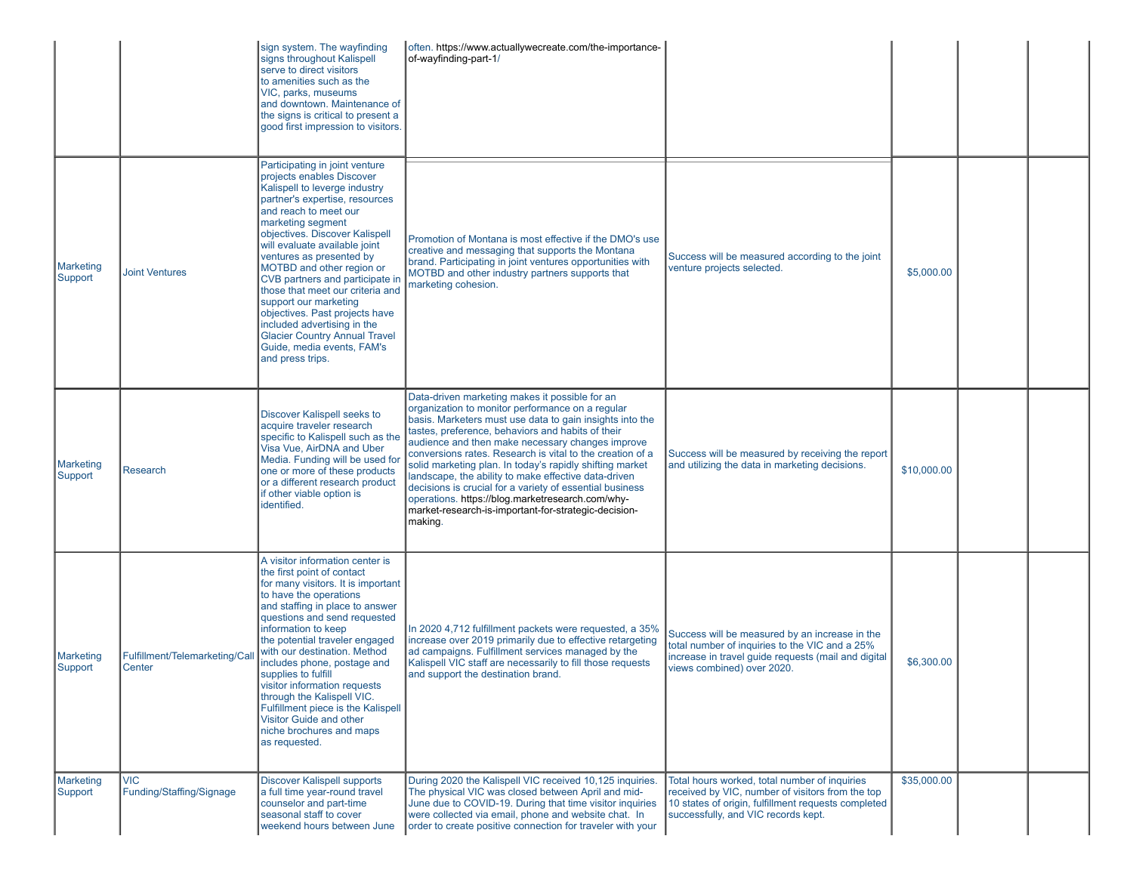|                             |                                         | sign system. The wayfinding<br>signs throughout Kalispell<br>serve to direct visitors<br>to amenities such as the<br>VIC, parks, museums<br>and downtown. Maintenance of<br>the signs is critical to present a<br>good first impression to visitors.                                                                                                                                                                                                                                                                                                                | often. https://www.actuallywecreate.com/the-importance-<br>of-wayfinding-part-1/                                                                                                                                                                                                                                                                                                                                                                                                                                                                                                                                                            |                                                                                                                                                                                                 |             |  |
|-----------------------------|-----------------------------------------|---------------------------------------------------------------------------------------------------------------------------------------------------------------------------------------------------------------------------------------------------------------------------------------------------------------------------------------------------------------------------------------------------------------------------------------------------------------------------------------------------------------------------------------------------------------------|---------------------------------------------------------------------------------------------------------------------------------------------------------------------------------------------------------------------------------------------------------------------------------------------------------------------------------------------------------------------------------------------------------------------------------------------------------------------------------------------------------------------------------------------------------------------------------------------------------------------------------------------|-------------------------------------------------------------------------------------------------------------------------------------------------------------------------------------------------|-------------|--|
| Marketing<br>Support        | <b>Joint Ventures</b>                   | Participating in joint venture<br>projects enables Discover<br>Kalispell to leverge industry<br>partner's expertise, resources<br>and reach to meet our<br>marketing segment<br>objectives. Discover Kalispell<br>will evaluate available joint<br>ventures as presented by<br>MOTBD and other region or<br>CVB partners and participate in<br>those that meet our criteria and<br>support our marketing<br>objectives. Past projects have<br>included advertising in the<br><b>Glacier Country Annual Travel</b><br>Guide, media events, FAM's<br>and press trips. | Promotion of Montana is most effective if the DMO's use<br>creative and messaging that supports the Montana<br>brand. Participating in joint ventures opportunities with<br>MOTBD and other industry partners supports that<br>marketing cohesion.                                                                                                                                                                                                                                                                                                                                                                                          | Success will be measured according to the joint<br>venture projects selected.                                                                                                                   | \$5,000.00  |  |
| Marketing<br>Support        | <b>Research</b>                         | Discover Kalispell seeks to<br>acquire traveler research<br>specific to Kalispell such as the<br>Visa Vue, AirDNA and Uber<br>Media. Funding will be used for<br>one or more of these products<br>or a different research product<br>if other viable option is<br>identified.                                                                                                                                                                                                                                                                                       | Data-driven marketing makes it possible for an<br>organization to monitor performance on a regular<br>basis. Marketers must use data to gain insights into the<br>tastes, preference, behaviors and habits of their<br>audience and then make necessary changes improve<br>conversions rates. Research is vital to the creation of a<br>solid marketing plan. In today's rapidly shifting market<br>landscape, the ability to make effective data-driven<br>decisions is crucial for a variety of essential business<br>operations. https://blog.marketresearch.com/why-<br>market-research-is-important-for-strategic-decision-<br>making. | Success will be measured by receiving the report<br>and utilizing the data in marketing decisions.                                                                                              | \$10,000.00 |  |
| <b>Marketing</b><br>Support | Fulfillment/Telemarketing/Cal<br>Center | A visitor information center is<br>the first point of contact<br>for many visitors. It is important<br>to have the operations<br>and staffing in place to answer<br>questions and send requested<br>information to keep<br>the potential traveler engaged<br>with our destination. Method<br>includes phone, postage and<br>supplies to fulfill<br>visitor information requests<br>through the Kalispell VIC.<br>Fulfillment piece is the Kalispell<br>Visitor Guide and other<br>niche brochures and maps<br>as requested.                                         | In 2020 4,712 fulfillment packets were requested, a 35%<br>increase over 2019 primarily due to effective retargeting<br>ad campaigns. Fulfillment services managed by the<br>Kalispell VIC staff are necessarily to fill those requests<br>and support the destination brand.                                                                                                                                                                                                                                                                                                                                                               | Success will be measured by an increase in the<br>total number of inquiries to the VIC and a 25%<br>increase in travel guide requests (mail and digital<br>views combined) over 2020.           | \$6,300.00  |  |
| Marketing<br>Support        | <b>VIC</b><br>Funding/Staffing/Signage  | <b>Discover Kalispell supports</b><br>a full time year-round travel<br>counselor and part-time<br>seasonal staff to cover<br>weekend hours between June                                                                                                                                                                                                                                                                                                                                                                                                             | During 2020 the Kalispell VIC received 10,125 inquiries.<br>The physical VIC was closed between April and mid-<br>June due to COVID-19. During that time visitor inquiries<br>were collected via email, phone and website chat. In<br>order to create positive connection for traveler with your                                                                                                                                                                                                                                                                                                                                            | Total hours worked, total number of inquiries<br>received by VIC, number of visitors from the top<br>10 states of origin, fulfillment requests completed<br>successfully, and VIC records kept. | \$35,000.00 |  |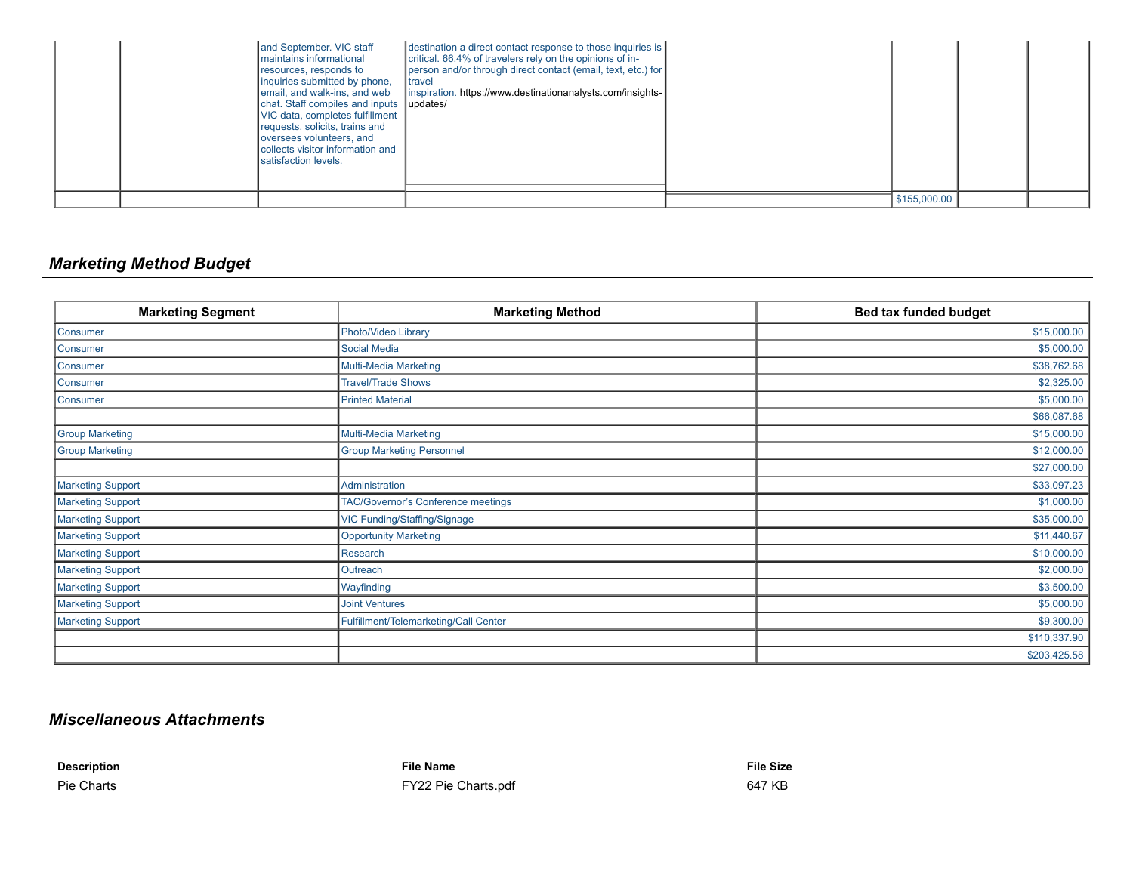|  | and September. VIC staff<br>I maintains informational<br>resources, responds to<br>inquiries submitted by phone,<br>email, and walk-ins, and web<br>chat. Staff compiles and inputs updates/<br>VIC data, completes fulfillment<br>requests, solicits, trains and<br>loversees volunteers, and<br>collects visitor information and<br><b>I</b> satisfaction levels. | destination a direct contact response to those inquiries is<br>critical. 66.4% of travelers rely on the opinions of in-<br>person and/or through direct contact (email, text, etc.) for<br><b>I</b> travel<br>linspiration. https://www.destinationanalysts.com/insights- |              |  |
|--|---------------------------------------------------------------------------------------------------------------------------------------------------------------------------------------------------------------------------------------------------------------------------------------------------------------------------------------------------------------------|---------------------------------------------------------------------------------------------------------------------------------------------------------------------------------------------------------------------------------------------------------------------------|--------------|--|
|  |                                                                                                                                                                                                                                                                                                                                                                     |                                                                                                                                                                                                                                                                           | \$155,000.00 |  |

## *Marketing Method Budget*

| <b>Marketing Segment</b> | <b>Marketing Method</b>               | Bed tax funded budget |
|--------------------------|---------------------------------------|-----------------------|
| Consumer                 | Photo/Video Library                   | \$15,000.00           |
| Consumer                 | <b>Social Media</b>                   | \$5,000.00            |
| Consumer                 | Multi-Media Marketing                 | \$38,762.68           |
| Consumer                 | <b>Travel/Trade Shows</b>             | \$2,325.00            |
| Consumer                 | <b>Printed Material</b>               | \$5,000.00            |
|                          |                                       | \$66,087.68           |
| <b>Group Marketing</b>   | <b>Multi-Media Marketing</b>          | \$15,000.00           |
| <b>Group Marketing</b>   | <b>Group Marketing Personnel</b>      | \$12,000.00           |
|                          |                                       | \$27,000.00           |
| <b>Marketing Support</b> | Administration                        | \$33,097.23           |
| <b>Marketing Support</b> | TAC/Governor's Conference meetings    | \$1,000.00            |
| <b>Marketing Support</b> | VIC Funding/Staffing/Signage          | \$35,000.00           |
| <b>Marketing Support</b> | <b>Opportunity Marketing</b>          | \$11,440.67           |
| <b>Marketing Support</b> | <b>Research</b>                       | \$10,000.00           |
| <b>Marketing Support</b> | Outreach                              | \$2,000.00            |
| <b>Marketing Support</b> | Wayfinding                            | \$3,500.00            |
| <b>Marketing Support</b> | <b>Joint Ventures</b>                 | \$5,000.00            |
| <b>Marketing Support</b> | Fulfillment/Telemarketing/Call Center | \$9,300.00            |
|                          |                                       | \$110,337.90          |
|                          |                                       | \$203,425.58          |

## *Miscellaneous Attachments*

**Description File Name File Size** Pie Charts 647 KB